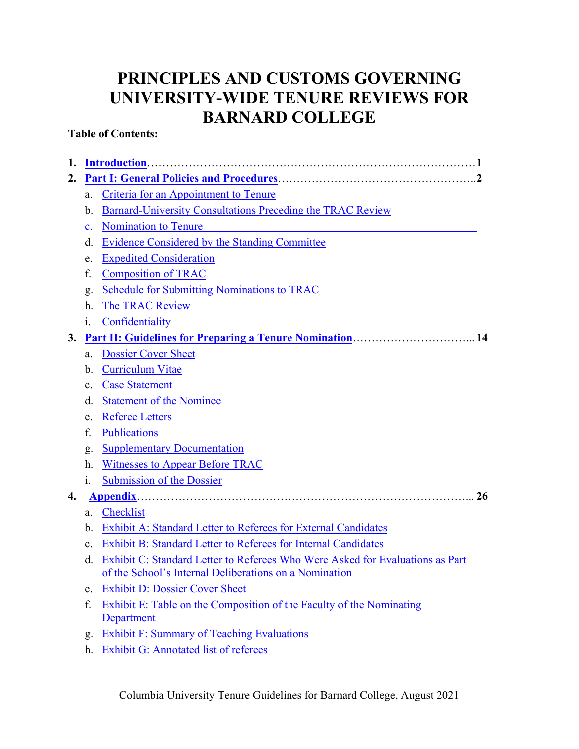# **PRINCIPLES AND CUSTOMS GOVERNING UNIVERSITY-WIDE TENURE REVIEWS FOR BARNARD COLLEGE**

# **Table of Contents:**

| 1.                                                                      |                                                        |                                                                                    |  |  |  |  |
|-------------------------------------------------------------------------|--------------------------------------------------------|------------------------------------------------------------------------------------|--|--|--|--|
| 2.                                                                      |                                                        |                                                                                    |  |  |  |  |
|                                                                         | a.                                                     | <b>Criteria for an Appointment to Tenure</b>                                       |  |  |  |  |
| <b>Barnard-University Consultations Preceding the TRAC Review</b><br>b. |                                                        |                                                                                    |  |  |  |  |
| <b>Nomination to Tenure</b><br>$\mathbf{c}$ .                           |                                                        |                                                                                    |  |  |  |  |
| <b>Evidence Considered by the Standing Committee</b><br>d.              |                                                        |                                                                                    |  |  |  |  |
|                                                                         | e.                                                     | <b>Expedited Consideration</b>                                                     |  |  |  |  |
| <b>Composition of TRAC</b><br>f.                                        |                                                        |                                                                                    |  |  |  |  |
|                                                                         | g.                                                     | <b>Schedule for Submitting Nominations to TRAC</b>                                 |  |  |  |  |
|                                                                         | h.                                                     | The TRAC Review                                                                    |  |  |  |  |
|                                                                         | i.                                                     | Confidentiality                                                                    |  |  |  |  |
| 3.                                                                      |                                                        | <b>Part II: Guidelines for Preparing a Tenure Nomination 14</b>                    |  |  |  |  |
|                                                                         | a.                                                     | <b>Dossier Cover Sheet</b>                                                         |  |  |  |  |
|                                                                         | b.                                                     | <b>Curriculum Vitae</b>                                                            |  |  |  |  |
|                                                                         | $\mathbf{c}$ .                                         | <b>Case Statement</b>                                                              |  |  |  |  |
|                                                                         | d.                                                     | <b>Statement of the Nominee</b>                                                    |  |  |  |  |
|                                                                         | e.                                                     | <b>Referee Letters</b>                                                             |  |  |  |  |
|                                                                         | f.                                                     | Publications                                                                       |  |  |  |  |
|                                                                         | g.                                                     | <b>Supplementary Documentation</b>                                                 |  |  |  |  |
|                                                                         | h.                                                     | <b>Witnesses to Appear Before TRAC</b>                                             |  |  |  |  |
|                                                                         | $\mathbf{1}$ .                                         | <b>Submission of the Dossier</b>                                                   |  |  |  |  |
| 4.                                                                      |                                                        | 26                                                                                 |  |  |  |  |
| Checklist<br>a.                                                         |                                                        |                                                                                    |  |  |  |  |
|                                                                         | b.                                                     | Exhibit A: Standard Letter to Referees for External Candidates                     |  |  |  |  |
|                                                                         | $\mathbf{c}$ .                                         | <b>Exhibit B: Standard Letter to Referees for Internal Candidates</b>              |  |  |  |  |
|                                                                         | d.                                                     | Exhibit C: Standard Letter to Referees Who Were Asked for Evaluations as Part      |  |  |  |  |
|                                                                         | of the School's Internal Deliberations on a Nomination |                                                                                    |  |  |  |  |
|                                                                         | e.                                                     | <b>Exhibit D: Dossier Cover Sheet</b>                                              |  |  |  |  |
|                                                                         | f.                                                     | Exhibit E: Table on the Composition of the Faculty of the Nominating<br>Department |  |  |  |  |
|                                                                         | g.                                                     | <b>Exhibit F: Summary of Teaching Evaluations</b>                                  |  |  |  |  |
|                                                                         | h.                                                     | Exhibit G: Annotated list of referees                                              |  |  |  |  |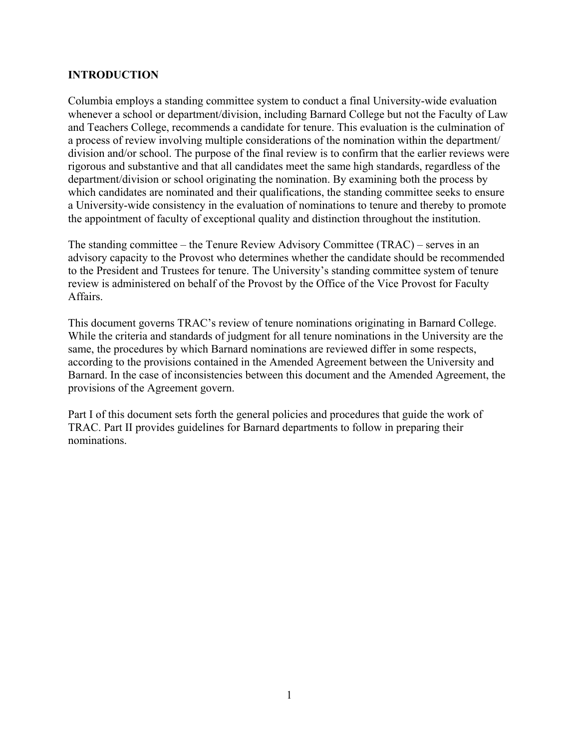## **INTRODUCTION**

Columbia employs a standing committee system to conduct a final University-wide evaluation whenever a school or department/division, including Barnard College but not the Faculty of Law and Teachers College, recommends a candidate for tenure. This evaluation is the culmination of a process of review involving multiple considerations of the nomination within the department/ division and/or school. The purpose of the final review is to confirm that the earlier reviews were rigorous and substantive and that all candidates meet the same high standards, regardless of the department/division or school originating the nomination. By examining both the process by which candidates are nominated and their qualifications, the standing committee seeks to ensure a University-wide consistency in the evaluation of nominations to tenure and thereby to promote the appointment of faculty of exceptional quality and distinction throughout the institution.

The standing committee – the Tenure Review Advisory Committee (TRAC) – serves in an advisory capacity to the Provost who determines whether the candidate should be recommended to the President and Trustees for tenure. The University's standing committee system of tenure review is administered on behalf of the Provost by the Office of the Vice Provost for Faculty Affairs.

This document governs TRAC's review of tenure nominations originating in Barnard College. While the criteria and standards of judgment for all tenure nominations in the University are the same, the procedures by which Barnard nominations are reviewed differ in some respects, according to the provisions contained in the Amended Agreement between the University and Barnard. In the case of inconsistencies between this document and the Amended Agreement, the provisions of the Agreement govern.

Part I of this document sets forth the general policies and procedures that guide the work of TRAC. Part II provides guidelines for Barnard departments to follow in preparing their nominations.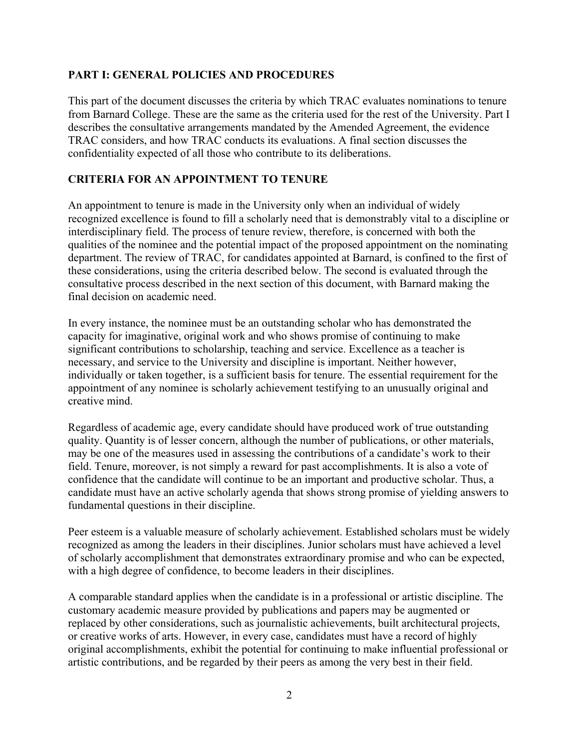#### **PART I: GENERAL POLICIES AND PROCEDURES**

This part of the document discusses the criteria by which TRAC evaluates nominations to tenure from Barnard College. These are the same as the criteria used for the rest of the University. Part I describes the consultative arrangements mandated by the Amended Agreement, the evidence TRAC considers, and how TRAC conducts its evaluations. A final section discusses the confidentiality expected of all those who contribute to its deliberations.

## **CRITERIA FOR AN APPOINTMENT TO TENURE**

An appointment to tenure is made in the University only when an individual of widely recognized excellence is found to fill a scholarly need that is demonstrably vital to a discipline or interdisciplinary field. The process of tenure review, therefore, is concerned with both the qualities of the nominee and the potential impact of the proposed appointment on the nominating department. The review of TRAC, for candidates appointed at Barnard, is confined to the first of these considerations, using the criteria described below. The second is evaluated through the consultative process described in the next section of this document, with Barnard making the final decision on academic need.

In every instance, the nominee must be an outstanding scholar who has demonstrated the capacity for imaginative, original work and who shows promise of continuing to make significant contributions to scholarship, teaching and service. Excellence as a teacher is necessary, and service to the University and discipline is important. Neither however, individually or taken together, is a sufficient basis for tenure. The essential requirement for the appointment of any nominee is scholarly achievement testifying to an unusually original and creative mind.

Regardless of academic age, every candidate should have produced work of true outstanding quality. Quantity is of lesser concern, although the number of publications, or other materials, may be one of the measures used in assessing the contributions of a candidate's work to their field. Tenure, moreover, is not simply a reward for past accomplishments. It is also a vote of confidence that the candidate will continue to be an important and productive scholar. Thus, a candidate must have an active scholarly agenda that shows strong promise of yielding answers to fundamental questions in their discipline.

Peer esteem is a valuable measure of scholarly achievement. Established scholars must be widely recognized as among the leaders in their disciplines. Junior scholars must have achieved a level of scholarly accomplishment that demonstrates extraordinary promise and who can be expected, with a high degree of confidence, to become leaders in their disciplines.

A comparable standard applies when the candidate is in a professional or artistic discipline. The customary academic measure provided by publications and papers may be augmented or replaced by other considerations, such as journalistic achievements, built architectural projects, or creative works of arts. However, in every case, candidates must have a record of highly original accomplishments, exhibit the potential for continuing to make influential professional or artistic contributions, and be regarded by their peers as among the very best in their field.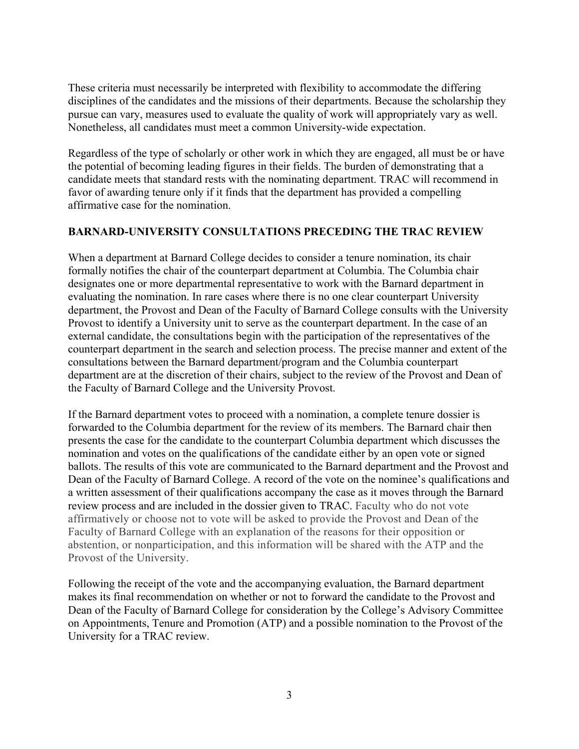These criteria must necessarily be interpreted with flexibility to accommodate the differing disciplines of the candidates and the missions of their departments. Because the scholarship they pursue can vary, measures used to evaluate the quality of work will appropriately vary as well. Nonetheless, all candidates must meet a common University-wide expectation.

Regardless of the type of scholarly or other work in which they are engaged, all must be or have the potential of becoming leading figures in their fields. The burden of demonstrating that a candidate meets that standard rests with the nominating department. TRAC will recommend in favor of awarding tenure only if it finds that the department has provided a compelling affirmative case for the nomination.

# **BARNARD-UNIVERSITY CONSULTATIONS PRECEDING THE TRAC REVIEW**

When a department at Barnard College decides to consider a tenure nomination, its chair formally notifies the chair of the counterpart department at Columbia. The Columbia chair designates one or more departmental representative to work with the Barnard department in evaluating the nomination. In rare cases where there is no one clear counterpart University department, the Provost and Dean of the Faculty of Barnard College consults with the University Provost to identify a University unit to serve as the counterpart department. In the case of an external candidate, the consultations begin with the participation of the representatives of the counterpart department in the search and selection process. The precise manner and extent of the consultations between the Barnard department/program and the Columbia counterpart department are at the discretion of their chairs, subject to the review of the Provost and Dean of the Faculty of Barnard College and the University Provost.

If the Barnard department votes to proceed with a nomination, a complete tenure dossier is forwarded to the Columbia department for the review of its members. The Barnard chair then presents the case for the candidate to the counterpart Columbia department which discusses the nomination and votes on the qualifications of the candidate either by an open vote or signed ballots. The results of this vote are communicated to the Barnard department and the Provost and Dean of the Faculty of Barnard College. A record of the vote on the nominee's qualifications and a written assessment of their qualifications accompany the case as it moves through the Barnard review process and are included in the dossier given to TRAC. Faculty who do not vote affirmatively or choose not to vote will be asked to provide the Provost and Dean of the Faculty of Barnard College with an explanation of the reasons for their opposition or abstention, or nonparticipation, and this information will be shared with the ATP and the Provost of the University.

Following the receipt of the vote and the accompanying evaluation, the Barnard department makes its final recommendation on whether or not to forward the candidate to the Provost and Dean of the Faculty of Barnard College for consideration by the College's Advisory Committee on Appointments, Tenure and Promotion (ATP) and a possible nomination to the Provost of the University for a TRAC review.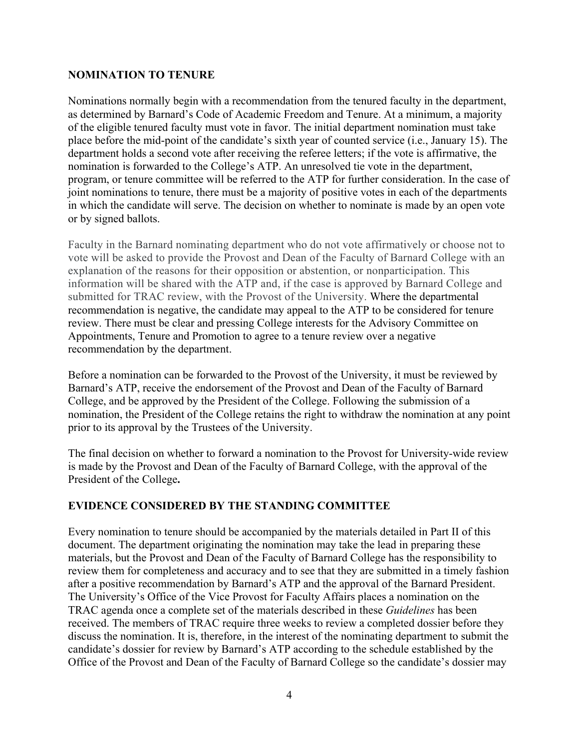#### **NOMINATION TO TENURE**

Nominations normally begin with a recommendation from the tenured faculty in the department, as determined by Barnard's Code of Academic Freedom and Tenure. At a minimum, a majority of the eligible tenured faculty must vote in favor. The initial department nomination must take place before the mid-point of the candidate's sixth year of counted service (i.e., January 15). The department holds a second vote after receiving the referee letters; if the vote is affirmative, the nomination is forwarded to the College's ATP. An unresolved tie vote in the department, program, or tenure committee will be referred to the ATP for further consideration. In the case of joint nominations to tenure, there must be a majority of positive votes in each of the departments in which the candidate will serve. The decision on whether to nominate is made by an open vote or by signed ballots.

Faculty in the Barnard nominating department who do not vote affirmatively or choose not to vote will be asked to provide the Provost and Dean of the Faculty of Barnard College with an explanation of the reasons for their opposition or abstention, or nonparticipation. This information will be shared with the ATP and, if the case is approved by Barnard College and submitted for TRAC review, with the Provost of the University. Where the departmental recommendation is negative, the candidate may appeal to the ATP to be considered for tenure review. There must be clear and pressing College interests for the Advisory Committee on Appointments, Tenure and Promotion to agree to a tenure review over a negative recommendation by the department.

Before a nomination can be forwarded to the Provost of the University, it must be reviewed by Barnard's ATP, receive the endorsement of the Provost and Dean of the Faculty of Barnard College, and be approved by the President of the College. Following the submission of a nomination, the President of the College retains the right to withdraw the nomination at any point prior to its approval by the Trustees of the University.

The final decision on whether to forward a nomination to the Provost for University-wide review is made by the Provost and Dean of the Faculty of Barnard College, with the approval of the President of the College**.** 

#### **EVIDENCE CONSIDERED BY THE STANDING COMMITTEE**

Every nomination to tenure should be accompanied by the materials detailed in Part II of this document. The department originating the nomination may take the lead in preparing these materials, but the Provost and Dean of the Faculty of Barnard College has the responsibility to review them for completeness and accuracy and to see that they are submitted in a timely fashion after a positive recommendation by Barnard's ATP and the approval of the Barnard President. The University's Office of the Vice Provost for Faculty Affairs places a nomination on the TRAC agenda once a complete set of the materials described in these *Guidelines* has been received. The members of TRAC require three weeks to review a completed dossier before they discuss the nomination. It is, therefore, in the interest of the nominating department to submit the candidate's dossier for review by Barnard's ATP according to the schedule established by the Office of the Provost and Dean of the Faculty of Barnard College so the candidate's dossier may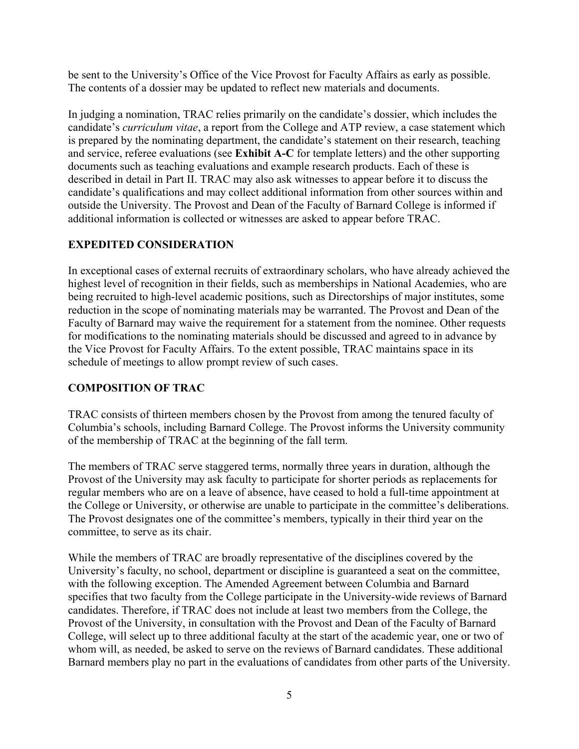be sent to the University's Office of the Vice Provost for Faculty Affairs as early as possible. The contents of a dossier may be updated to reflect new materials and documents.

In judging a nomination, TRAC relies primarily on the candidate's dossier, which includes the candidate's *curriculum vitae*, a report from the College and ATP review, a case statement which is prepared by the nominating department, the candidate's statement on their research, teaching and service, referee evaluations (see **Exhibit A-C** for template letters) and the other supporting documents such as teaching evaluations and example research products. Each of these is described in detail in Part II. TRAC may also ask witnesses to appear before it to discuss the candidate's qualifications and may collect additional information from other sources within and outside the University. The Provost and Dean of the Faculty of Barnard College is informed if additional information is collected or witnesses are asked to appear before TRAC.

# **EXPEDITED CONSIDERATION**

In exceptional cases of external recruits of extraordinary scholars, who have already achieved the highest level of recognition in their fields, such as memberships in National Academies, who are being recruited to high-level academic positions, such as Directorships of major institutes, some reduction in the scope of nominating materials may be warranted. The Provost and Dean of the Faculty of Barnard may waive the requirement for a statement from the nominee. Other requests for modifications to the nominating materials should be discussed and agreed to in advance by the Vice Provost for Faculty Affairs. To the extent possible, TRAC maintains space in its schedule of meetings to allow prompt review of such cases.

# **COMPOSITION OF TRAC**

TRAC consists of thirteen members chosen by the Provost from among the tenured faculty of Columbia's schools, including Barnard College. The Provost informs the University community of the membership of TRAC at the beginning of the fall term.

The members of TRAC serve staggered terms, normally three years in duration, although the Provost of the University may ask faculty to participate for shorter periods as replacements for regular members who are on a leave of absence, have ceased to hold a full-time appointment at the College or University, or otherwise are unable to participate in the committee's deliberations. The Provost designates one of the committee's members, typically in their third year on the committee, to serve as its chair.

While the members of TRAC are broadly representative of the disciplines covered by the University's faculty, no school, department or discipline is guaranteed a seat on the committee, with the following exception. The Amended Agreement between Columbia and Barnard specifies that two faculty from the College participate in the University-wide reviews of Barnard candidates. Therefore, if TRAC does not include at least two members from the College, the Provost of the University, in consultation with the Provost and Dean of the Faculty of Barnard College, will select up to three additional faculty at the start of the academic year, one or two of whom will, as needed, be asked to serve on the reviews of Barnard candidates. These additional Barnard members play no part in the evaluations of candidates from other parts of the University.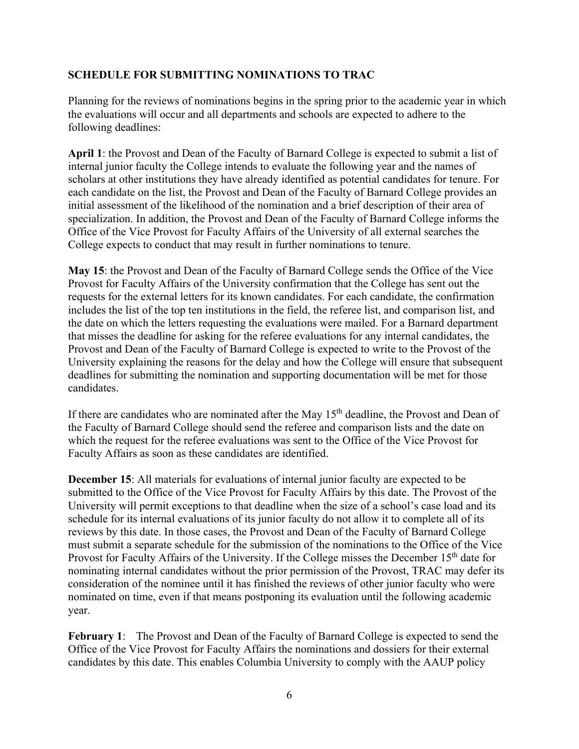# **SCHEDULE FOR SUBMITTING NOMINATIONS TO TRAC**

Planning for the reviews of nominations begins in the spring prior to the academic year in which the evaluations will occur and all departments and schools are expected to adhere to the following deadlines:

**April 1**: the Provost and Dean of the Faculty of Barnard College is expected to submit a list of internal junior faculty the College intends to evaluate the following year and the names of scholars at other institutions they have already identified as potential candidates for tenure. For each candidate on the list, the Provost and Dean of the Faculty of Barnard College provides an initial assessment of the likelihood of the nomination and a brief description of their area of specialization. In addition, the Provost and Dean of the Faculty of Barnard College informs the Office of the Vice Provost for Faculty Affairs of the University of all external searches the College expects to conduct that may result in further nominations to tenure.

**May 15**: the Provost and Dean of the Faculty of Barnard College sends the Office of the Vice Provost for Faculty Affairs of the University confirmation that the College has sent out the requests for the external letters for its known candidates. For each candidate, the confirmation includes the list of the top ten institutions in the field, the referee list, and comparison list, and the date on which the letters requesting the evaluations were mailed. For a Barnard department that misses the deadline for asking for the referee evaluations for any internal candidates, the Provost and Dean of the Faculty of Barnard College is expected to write to the Provost of the University explaining the reasons for the delay and how the College will ensure that subsequent deadlines for submitting the nomination and supporting documentation will be met for those candidates.

If there are candidates who are nominated after the May  $15<sup>th</sup>$  deadline, the Provost and Dean of the Faculty of Barnard College should send the referee and comparison lists and the date on which the request for the referee evaluations was sent to the Office of the Vice Provost for Faculty Affairs as soon as these candidates are identified.

**December 15**: All materials for evaluations of internal junior faculty are expected to be submitted to the Office of the Vice Provost for Faculty Affairs by this date. The Provost of the University will permit exceptions to that deadline when the size of a school's case load and its schedule for its internal evaluations of its junior faculty do not allow it to complete all of its reviews by this date. In those cases, the Provost and Dean of the Faculty of Barnard College must submit a separate schedule for the submission of the nominations to the Office of the Vice Provost for Faculty Affairs of the University. If the College misses the December 15<sup>th</sup> date for nominating internal candidates without the prior permission of the Provost, TRAC may defer its consideration of the nominee until it has finished the reviews of other junior faculty who were nominated on time, even if that means postponing its evaluation until the following academic year.

**February 1**: The Provost and Dean of the Faculty of Barnard College is expected to send the Office of the Vice Provost for Faculty Affairs the nominations and dossiers for their external candidates by this date. This enables Columbia University to comply with the AAUP policy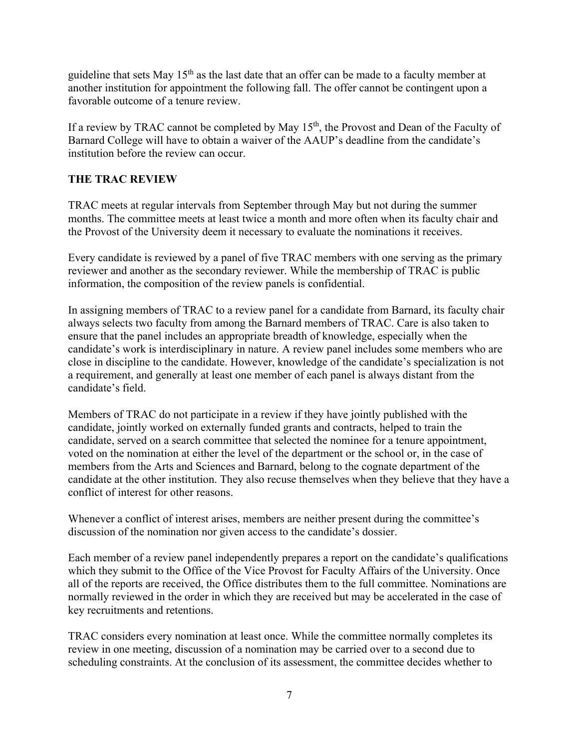guideline that sets May  $15<sup>th</sup>$  as the last date that an offer can be made to a faculty member at another institution for appointment the following fall. The offer cannot be contingent upon a favorable outcome of a tenure review.

If a review by TRAC cannot be completed by May 15<sup>th</sup>, the Provost and Dean of the Faculty of Barnard College will have to obtain a waiver of the AAUP's deadline from the candidate's institution before the review can occur.

# **THE TRAC REVIEW**

TRAC meets at regular intervals from September through May but not during the summer months. The committee meets at least twice a month and more often when its faculty chair and the Provost of the University deem it necessary to evaluate the nominations it receives.

Every candidate is reviewed by a panel of five TRAC members with one serving as the primary reviewer and another as the secondary reviewer. While the membership of TRAC is public information, the composition of the review panels is confidential.

In assigning members of TRAC to a review panel for a candidate from Barnard, its faculty chair always selects two faculty from among the Barnard members of TRAC. Care is also taken to ensure that the panel includes an appropriate breadth of knowledge, especially when the candidate's work is interdisciplinary in nature. A review panel includes some members who are close in discipline to the candidate. However, knowledge of the candidate's specialization is not a requirement, and generally at least one member of each panel is always distant from the candidate's field.

Members of TRAC do not participate in a review if they have jointly published with the candidate, jointly worked on externally funded grants and contracts, helped to train the candidate, served on a search committee that selected the nominee for a tenure appointment, voted on the nomination at either the level of the department or the school or, in the case of members from the Arts and Sciences and Barnard, belong to the cognate department of the candidate at the other institution. They also recuse themselves when they believe that they have a conflict of interest for other reasons.

Whenever a conflict of interest arises, members are neither present during the committee's discussion of the nomination nor given access to the candidate's dossier.

Each member of a review panel independently prepares a report on the candidate's qualifications which they submit to the Office of the Vice Provost for Faculty Affairs of the University. Once all of the reports are received, the Office distributes them to the full committee. Nominations are normally reviewed in the order in which they are received but may be accelerated in the case of key recruitments and retentions.

TRAC considers every nomination at least once. While the committee normally completes its review in one meeting, discussion of a nomination may be carried over to a second due to scheduling constraints. At the conclusion of its assessment, the committee decides whether to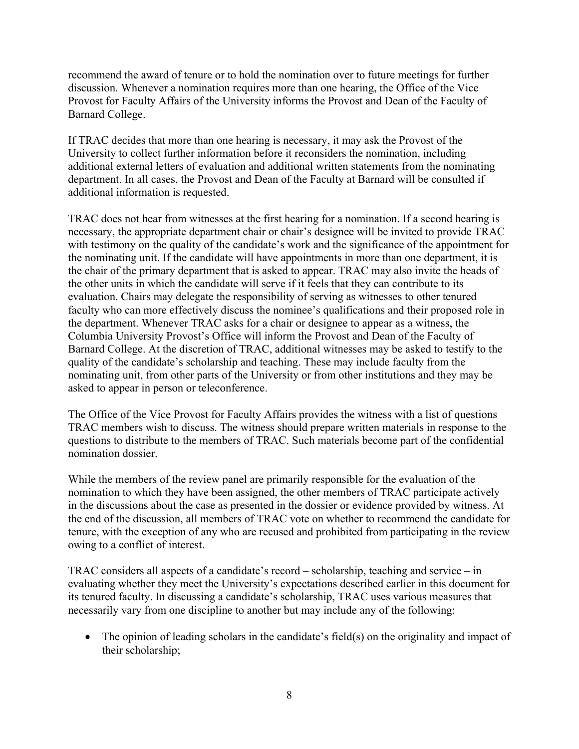recommend the award of tenure or to hold the nomination over to future meetings for further discussion. Whenever a nomination requires more than one hearing, the Office of the Vice Provost for Faculty Affairs of the University informs the Provost and Dean of the Faculty of Barnard College.

If TRAC decides that more than one hearing is necessary, it may ask the Provost of the University to collect further information before it reconsiders the nomination, including additional external letters of evaluation and additional written statements from the nominating department. In all cases, the Provost and Dean of the Faculty at Barnard will be consulted if additional information is requested.

TRAC does not hear from witnesses at the first hearing for a nomination. If a second hearing is necessary, the appropriate department chair or chair's designee will be invited to provide TRAC with testimony on the quality of the candidate's work and the significance of the appointment for the nominating unit. If the candidate will have appointments in more than one department, it is the chair of the primary department that is asked to appear. TRAC may also invite the heads of the other units in which the candidate will serve if it feels that they can contribute to its evaluation. Chairs may delegate the responsibility of serving as witnesses to other tenured faculty who can more effectively discuss the nominee's qualifications and their proposed role in the department. Whenever TRAC asks for a chair or designee to appear as a witness, the Columbia University Provost's Office will inform the Provost and Dean of the Faculty of Barnard College. At the discretion of TRAC, additional witnesses may be asked to testify to the quality of the candidate's scholarship and teaching. These may include faculty from the nominating unit, from other parts of the University or from other institutions and they may be asked to appear in person or teleconference.

The Office of the Vice Provost for Faculty Affairs provides the witness with a list of questions TRAC members wish to discuss. The witness should prepare written materials in response to the questions to distribute to the members of TRAC. Such materials become part of the confidential nomination dossier.

While the members of the review panel are primarily responsible for the evaluation of the nomination to which they have been assigned, the other members of TRAC participate actively in the discussions about the case as presented in the dossier or evidence provided by witness. At the end of the discussion, all members of TRAC vote on whether to recommend the candidate for tenure, with the exception of any who are recused and prohibited from participating in the review owing to a conflict of interest.

TRAC considers all aspects of a candidate's record – scholarship, teaching and service – in evaluating whether they meet the University's expectations described earlier in this document for its tenured faculty. In discussing a candidate's scholarship, TRAC uses various measures that necessarily vary from one discipline to another but may include any of the following:

• The opinion of leading scholars in the candidate's field(s) on the originality and impact of their scholarship;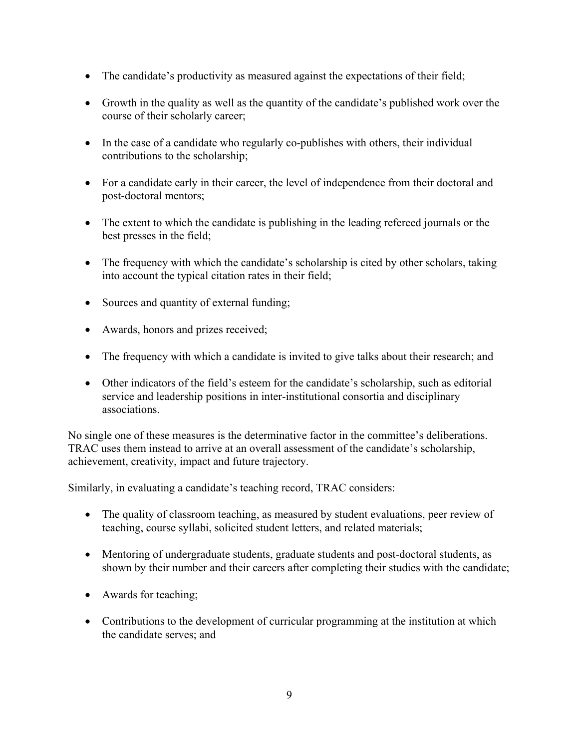- The candidate's productivity as measured against the expectations of their field;
- Growth in the quality as well as the quantity of the candidate's published work over the course of their scholarly career;
- In the case of a candidate who regularly co-publishes with others, their individual contributions to the scholarship;
- For a candidate early in their career, the level of independence from their doctoral and post-doctoral mentors;
- The extent to which the candidate is publishing in the leading refereed journals or the best presses in the field;
- The frequency with which the candidate's scholarship is cited by other scholars, taking into account the typical citation rates in their field;
- Sources and quantity of external funding;
- Awards, honors and prizes received;
- The frequency with which a candidate is invited to give talks about their research; and
- Other indicators of the field's esteem for the candidate's scholarship, such as editorial service and leadership positions in inter-institutional consortia and disciplinary associations.

No single one of these measures is the determinative factor in the committee's deliberations. TRAC uses them instead to arrive at an overall assessment of the candidate's scholarship, achievement, creativity, impact and future trajectory.

Similarly, in evaluating a candidate's teaching record, TRAC considers:

- The quality of classroom teaching, as measured by student evaluations, peer review of teaching, course syllabi, solicited student letters, and related materials;
- Mentoring of undergraduate students, graduate students and post-doctoral students, as shown by their number and their careers after completing their studies with the candidate;
- Awards for teaching;
- Contributions to the development of curricular programming at the institution at which the candidate serves; and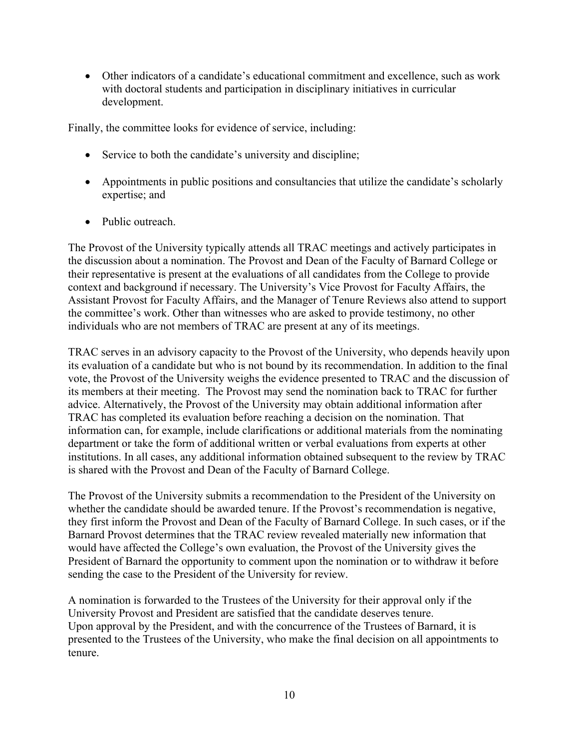Other indicators of a candidate's educational commitment and excellence, such as work with doctoral students and participation in disciplinary initiatives in curricular development.

Finally, the committee looks for evidence of service, including:

- Service to both the candidate's university and discipline;
- Appointments in public positions and consultancies that utilize the candidate's scholarly expertise; and
- Public outreach.

The Provost of the University typically attends all TRAC meetings and actively participates in the discussion about a nomination. The Provost and Dean of the Faculty of Barnard College or their representative is present at the evaluations of all candidates from the College to provide context and background if necessary. The University's Vice Provost for Faculty Affairs, the Assistant Provost for Faculty Affairs, and the Manager of Tenure Reviews also attend to support the committee's work. Other than witnesses who are asked to provide testimony, no other individuals who are not members of TRAC are present at any of its meetings.

TRAC serves in an advisory capacity to the Provost of the University, who depends heavily upon its evaluation of a candidate but who is not bound by its recommendation. In addition to the final vote, the Provost of the University weighs the evidence presented to TRAC and the discussion of its members at their meeting. The Provost may send the nomination back to TRAC for further advice. Alternatively, the Provost of the University may obtain additional information after TRAC has completed its evaluation before reaching a decision on the nomination. That information can, for example, include clarifications or additional materials from the nominating department or take the form of additional written or verbal evaluations from experts at other institutions. In all cases, any additional information obtained subsequent to the review by TRAC is shared with the Provost and Dean of the Faculty of Barnard College.

The Provost of the University submits a recommendation to the President of the University on whether the candidate should be awarded tenure. If the Provost's recommendation is negative, they first inform the Provost and Dean of the Faculty of Barnard College. In such cases, or if the Barnard Provost determines that the TRAC review revealed materially new information that would have affected the College's own evaluation, the Provost of the University gives the President of Barnard the opportunity to comment upon the nomination or to withdraw it before sending the case to the President of the University for review.

A nomination is forwarded to the Trustees of the University for their approval only if the University Provost and President are satisfied that the candidate deserves tenure. Upon approval by the President, and with the concurrence of the Trustees of Barnard, it is presented to the Trustees of the University, who make the final decision on all appointments to tenure.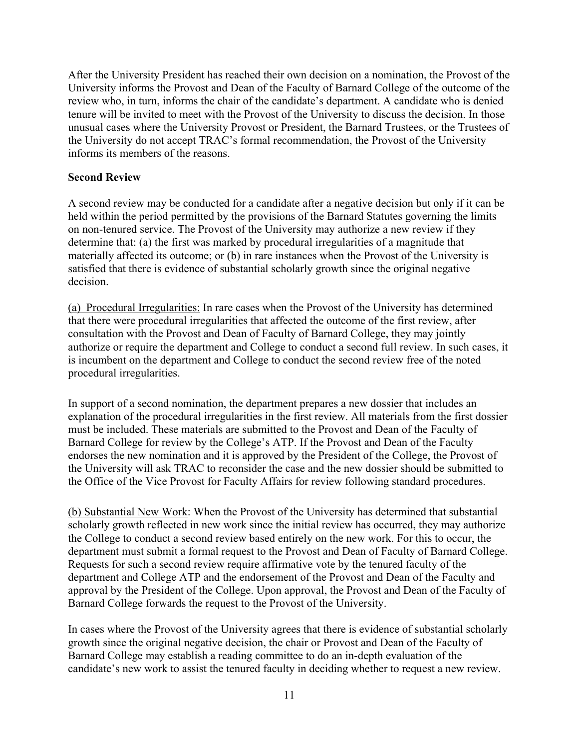After the University President has reached their own decision on a nomination, the Provost of the University informs the Provost and Dean of the Faculty of Barnard College of the outcome of the review who, in turn, informs the chair of the candidate's department. A candidate who is denied tenure will be invited to meet with the Provost of the University to discuss the decision. In those unusual cases where the University Provost or President, the Barnard Trustees, or the Trustees of the University do not accept TRAC's formal recommendation, the Provost of the University informs its members of the reasons.

#### **Second Review**

A second review may be conducted for a candidate after a negative decision but only if it can be held within the period permitted by the provisions of the Barnard Statutes governing the limits on non-tenured service. The Provost of the University may authorize a new review if they determine that: (a) the first was marked by procedural irregularities of a magnitude that materially affected its outcome; or (b) in rare instances when the Provost of the University is satisfied that there is evidence of substantial scholarly growth since the original negative decision.

(a) Procedural Irregularities: In rare cases when the Provost of the University has determined that there were procedural irregularities that affected the outcome of the first review, after consultation with the Provost and Dean of Faculty of Barnard College, they may jointly authorize or require the department and College to conduct a second full review. In such cases, it is incumbent on the department and College to conduct the second review free of the noted procedural irregularities.

In support of a second nomination, the department prepares a new dossier that includes an explanation of the procedural irregularities in the first review. All materials from the first dossier must be included. These materials are submitted to the Provost and Dean of the Faculty of Barnard College for review by the College's ATP. If the Provost and Dean of the Faculty endorses the new nomination and it is approved by the President of the College, the Provost of the University will ask TRAC to reconsider the case and the new dossier should be submitted to the Office of the Vice Provost for Faculty Affairs for review following standard procedures.

(b) Substantial New Work: When the Provost of the University has determined that substantial scholarly growth reflected in new work since the initial review has occurred, they may authorize the College to conduct a second review based entirely on the new work. For this to occur, the department must submit a formal request to the Provost and Dean of Faculty of Barnard College. Requests for such a second review require affirmative vote by the tenured faculty of the department and College ATP and the endorsement of the Provost and Dean of the Faculty and approval by the President of the College. Upon approval, the Provost and Dean of the Faculty of Barnard College forwards the request to the Provost of the University.

In cases where the Provost of the University agrees that there is evidence of substantial scholarly growth since the original negative decision, the chair or Provost and Dean of the Faculty of Barnard College may establish a reading committee to do an in-depth evaluation of the candidate's new work to assist the tenured faculty in deciding whether to request a new review.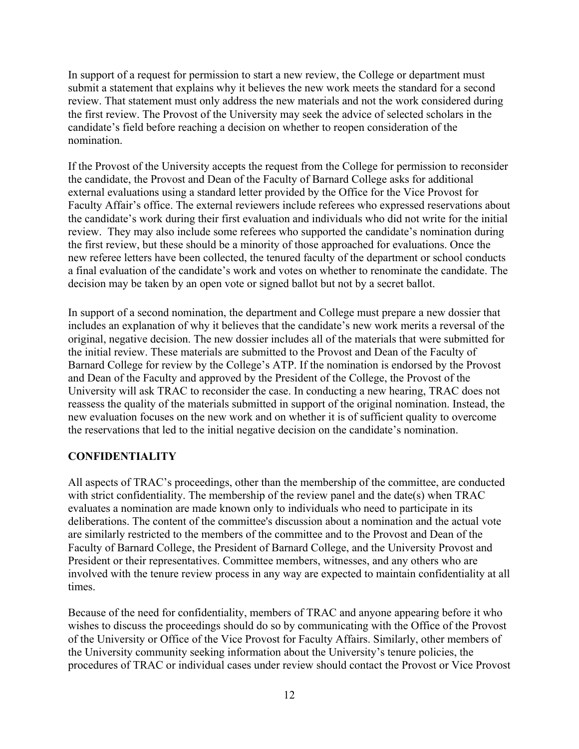In support of a request for permission to start a new review, the College or department must submit a statement that explains why it believes the new work meets the standard for a second review. That statement must only address the new materials and not the work considered during the first review. The Provost of the University may seek the advice of selected scholars in the candidate's field before reaching a decision on whether to reopen consideration of the nomination.

If the Provost of the University accepts the request from the College for permission to reconsider the candidate, the Provost and Dean of the Faculty of Barnard College asks for additional external evaluations using a standard letter provided by the Office for the Vice Provost for Faculty Affair's office. The external reviewers include referees who expressed reservations about the candidate's work during their first evaluation and individuals who did not write for the initial review. They may also include some referees who supported the candidate's nomination during the first review, but these should be a minority of those approached for evaluations. Once the new referee letters have been collected, the tenured faculty of the department or school conducts a final evaluation of the candidate's work and votes on whether to renominate the candidate. The decision may be taken by an open vote or signed ballot but not by a secret ballot.

In support of a second nomination, the department and College must prepare a new dossier that includes an explanation of why it believes that the candidate's new work merits a reversal of the original, negative decision. The new dossier includes all of the materials that were submitted for the initial review. These materials are submitted to the Provost and Dean of the Faculty of Barnard College for review by the College's ATP. If the nomination is endorsed by the Provost and Dean of the Faculty and approved by the President of the College, the Provost of the University will ask TRAC to reconsider the case. In conducting a new hearing, TRAC does not reassess the quality of the materials submitted in support of the original nomination. Instead, the new evaluation focuses on the new work and on whether it is of sufficient quality to overcome the reservations that led to the initial negative decision on the candidate's nomination.

#### **CONFIDENTIALITY**

All aspects of TRAC's proceedings, other than the membership of the committee, are conducted with strict confidentiality. The membership of the review panel and the date(s) when TRAC evaluates a nomination are made known only to individuals who need to participate in its deliberations. The content of the committee's discussion about a nomination and the actual vote are similarly restricted to the members of the committee and to the Provost and Dean of the Faculty of Barnard College, the President of Barnard College, and the University Provost and President or their representatives. Committee members, witnesses, and any others who are involved with the tenure review process in any way are expected to maintain confidentiality at all times.

Because of the need for confidentiality, members of TRAC and anyone appearing before it who wishes to discuss the proceedings should do so by communicating with the Office of the Provost of the University or Office of the Vice Provost for Faculty Affairs. Similarly, other members of the University community seeking information about the University's tenure policies, the procedures of TRAC or individual cases under review should contact the Provost or Vice Provost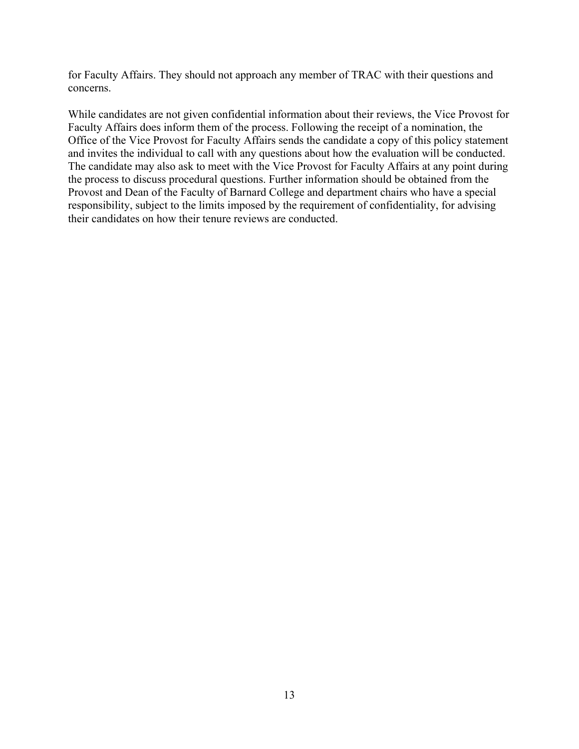for Faculty Affairs. They should not approach any member of TRAC with their questions and concerns.

While candidates are not given confidential information about their reviews, the Vice Provost for Faculty Affairs does inform them of the process. Following the receipt of a nomination, the Office of the Vice Provost for Faculty Affairs sends the candidate a copy of this policy statement and invites the individual to call with any questions about how the evaluation will be conducted. The candidate may also ask to meet with the Vice Provost for Faculty Affairs at any point during the process to discuss procedural questions. Further information should be obtained from the Provost and Dean of the Faculty of Barnard College and department chairs who have a special responsibility, subject to the limits imposed by the requirement of confidentiality, for advising their candidates on how their tenure reviews are conducted.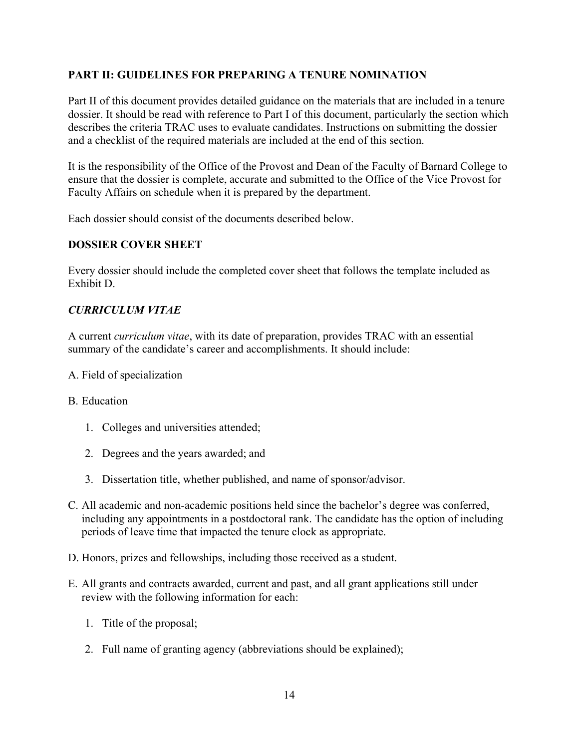# **PART II: GUIDELINES FOR PREPARING A TENURE NOMINATION**

Part II of this document provides detailed guidance on the materials that are included in a tenure dossier. It should be read with reference to Part I of this document, particularly the section which describes the criteria TRAC uses to evaluate candidates. Instructions on submitting the dossier and a checklist of the required materials are included at the end of this section.

It is the responsibility of the Office of the Provost and Dean of the Faculty of Barnard College to ensure that the dossier is complete, accurate and submitted to the Office of the Vice Provost for Faculty Affairs on schedule when it is prepared by the department.

Each dossier should consist of the documents described below.

# **DOSSIER COVER SHEET**

Every dossier should include the completed cover sheet that follows the template included as Exhibit D.

# *CURRICULUM VITAE*

A current *curriculum vitae*, with its date of preparation, provides TRAC with an essential summary of the candidate's career and accomplishments. It should include:

A. Field of specialization

#### B. Education

- 1. Colleges and universities attended;
- 2. Degrees and the years awarded; and
- 3. Dissertation title, whether published, and name of sponsor/advisor.
- C. All academic and non-academic positions held since the bachelor's degree was conferred, including any appointments in a postdoctoral rank. The candidate has the option of including periods of leave time that impacted the tenure clock as appropriate.
- D. Honors, prizes and fellowships, including those received as a student.
- E. All grants and contracts awarded, current and past, and all grant applications still under review with the following information for each:
	- 1. Title of the proposal;
	- 2. Full name of granting agency (abbreviations should be explained);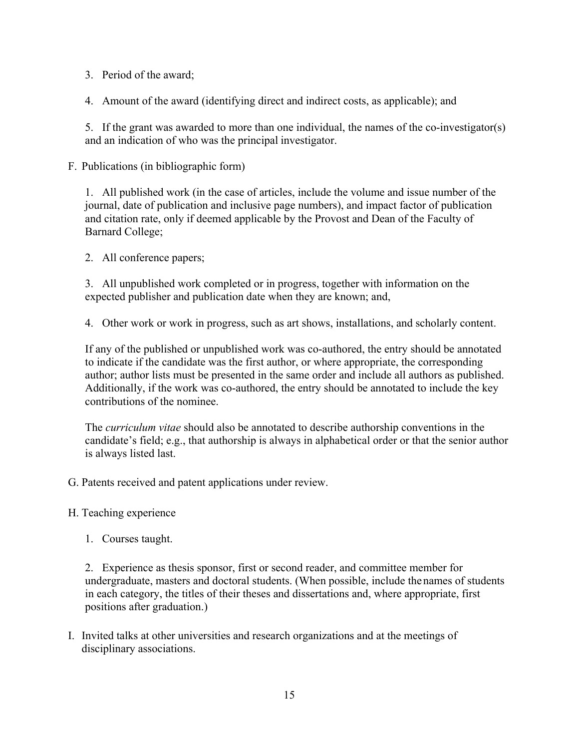- 3. Period of the award;
- 4. Amount of the award (identifying direct and indirect costs, as applicable); and

5. If the grant was awarded to more than one individual, the names of the co-investigator(s) and an indication of who was the principal investigator.

F. Publications (in bibliographic form)

1. All published work (in the case of articles, include the volume and issue number of the journal, date of publication and inclusive page numbers), and impact factor of publication and citation rate, only if deemed applicable by the Provost and Dean of the Faculty of Barnard College;

2. All conference papers;

3. All unpublished work completed or in progress, together with information on the expected publisher and publication date when they are known; and,

4. Other work or work in progress, such as art shows, installations, and scholarly content.

If any of the published or unpublished work was co-authored, the entry should be annotated to indicate if the candidate was the first author, or where appropriate, the corresponding author; author lists must be presented in the same order and include all authors as published. Additionally, if the work was co-authored, the entry should be annotated to include the key contributions of the nominee.

The *curriculum vitae* should also be annotated to describe authorship conventions in the candidate's field; e.g., that authorship is always in alphabetical order or that the senior author is always listed last.

- G. Patents received and patent applications under review.
- H. Teaching experience
	- 1. Courses taught.

2. Experience as thesis sponsor, first or second reader, and committee member for undergraduate, masters and doctoral students. (When possible, include the names of students in each category, the titles of their theses and dissertations and, where appropriate, first positions after graduation.)

I. Invited talks at other universities and research organizations and at the meetings of disciplinary associations.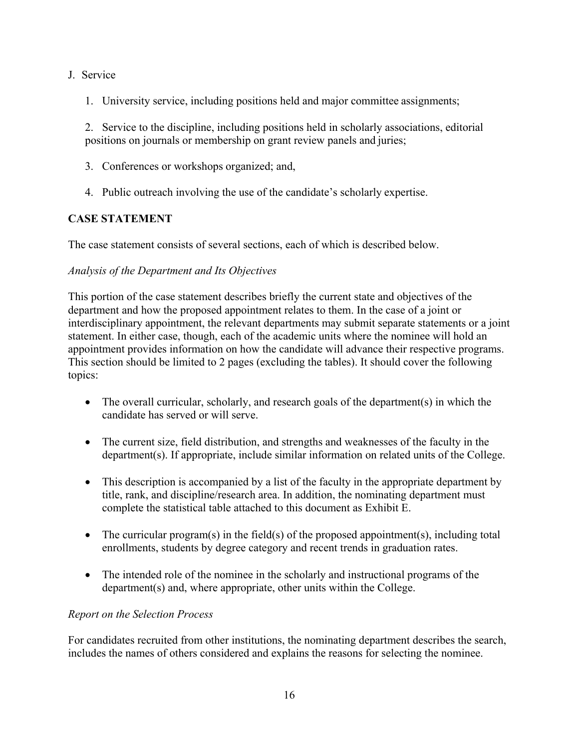#### J. Service

1. University service, including positions held and major committee assignments;

2. Service to the discipline, including positions held in scholarly associations, editorial positions on journals or membership on grant review panels and juries;

- 3. Conferences or workshops organized; and,
- 4. Public outreach involving the use of the candidate's scholarly expertise.

# **CASE STATEMENT**

The case statement consists of several sections, each of which is described below.

# *Analysis of the Department and Its Objectives*

This portion of the case statement describes briefly the current state and objectives of the department and how the proposed appointment relates to them. In the case of a joint or interdisciplinary appointment, the relevant departments may submit separate statements or a joint statement. In either case, though, each of the academic units where the nominee will hold an appointment provides information on how the candidate will advance their respective programs. This section should be limited to 2 pages (excluding the tables). It should cover the following topics:

- The overall curricular, scholarly, and research goals of the department(s) in which the candidate has served or will serve.
- The current size, field distribution, and strengths and weaknesses of the faculty in the department(s). If appropriate, include similar information on related units of the College.
- This description is accompanied by a list of the faculty in the appropriate department by title, rank, and discipline/research area. In addition, the nominating department must complete the statistical table attached to this document as Exhibit E.
- The curricular program(s) in the field(s) of the proposed appointment(s), including total enrollments, students by degree category and recent trends in graduation rates.
- The intended role of the nominee in the scholarly and instructional programs of the department(s) and, where appropriate, other units within the College.

# *Report on the Selection Process*

For candidates recruited from other institutions, the nominating department describes the search, includes the names of others considered and explains the reasons for selecting the nominee.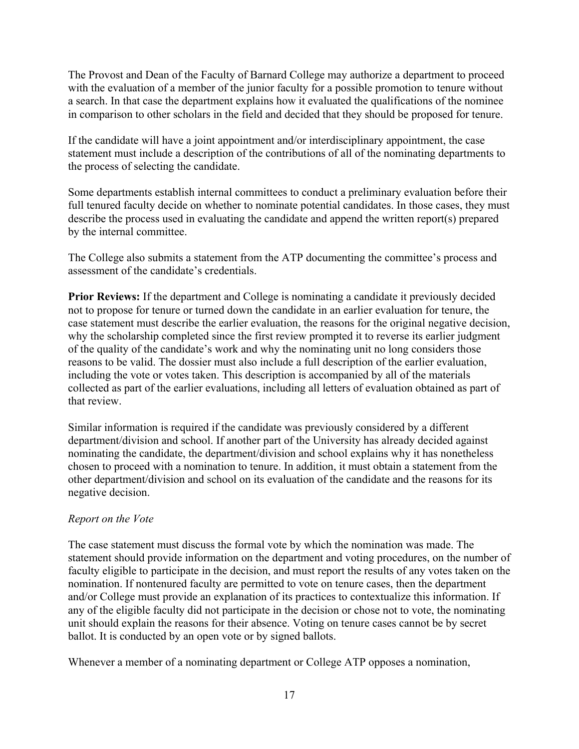The Provost and Dean of the Faculty of Barnard College may authorize a department to proceed with the evaluation of a member of the junior faculty for a possible promotion to tenure without a search. In that case the department explains how it evaluated the qualifications of the nominee in comparison to other scholars in the field and decided that they should be proposed for tenure.

If the candidate will have a joint appointment and/or interdisciplinary appointment, the case statement must include a description of the contributions of all of the nominating departments to the process of selecting the candidate.

Some departments establish internal committees to conduct a preliminary evaluation before their full tenured faculty decide on whether to nominate potential candidates. In those cases, they must describe the process used in evaluating the candidate and append the written report(s) prepared by the internal committee.

The College also submits a statement from the ATP documenting the committee's process and assessment of the candidate's credentials.

**Prior Reviews:** If the department and College is nominating a candidate it previously decided not to propose for tenure or turned down the candidate in an earlier evaluation for tenure, the case statement must describe the earlier evaluation, the reasons for the original negative decision, why the scholarship completed since the first review prompted it to reverse its earlier judgment of the quality of the candidate's work and why the nominating unit no long considers those reasons to be valid. The dossier must also include a full description of the earlier evaluation, including the vote or votes taken. This description is accompanied by all of the materials collected as part of the earlier evaluations, including all letters of evaluation obtained as part of that review.

Similar information is required if the candidate was previously considered by a different department/division and school. If another part of the University has already decided against nominating the candidate, the department/division and school explains why it has nonetheless chosen to proceed with a nomination to tenure. In addition, it must obtain a statement from the other department/division and school on its evaluation of the candidate and the reasons for its negative decision.

# *Report on the Vote*

The case statement must discuss the formal vote by which the nomination was made. The statement should provide information on the department and voting procedures, on the number of faculty eligible to participate in the decision, and must report the results of any votes taken on the nomination. If nontenured faculty are permitted to vote on tenure cases, then the department and/or College must provide an explanation of its practices to contextualize this information. If any of the eligible faculty did not participate in the decision or chose not to vote, the nominating unit should explain the reasons for their absence. Voting on tenure cases cannot be by secret ballot. It is conducted by an open vote or by signed ballots.

Whenever a member of a nominating department or College ATP opposes a nomination,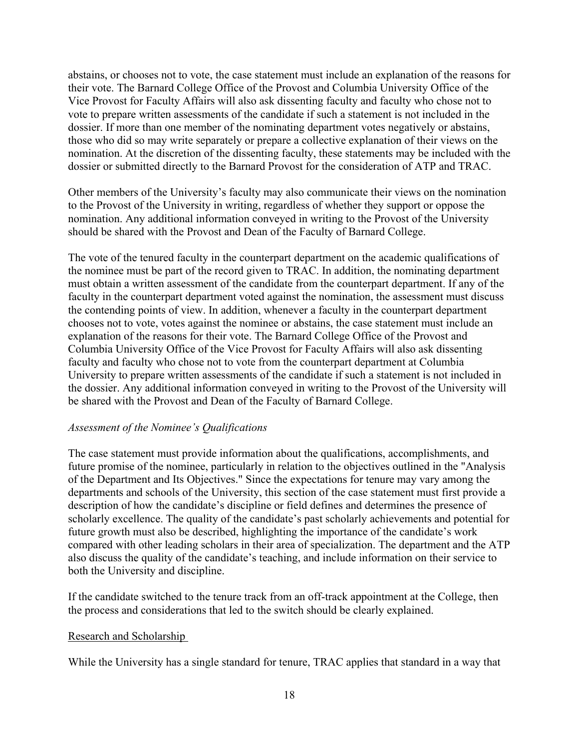abstains, or chooses not to vote, the case statement must include an explanation of the reasons for their vote. The Barnard College Office of the Provost and Columbia University Office of the Vice Provost for Faculty Affairs will also ask dissenting faculty and faculty who chose not to vote to prepare written assessments of the candidate if such a statement is not included in the dossier. If more than one member of the nominating department votes negatively or abstains, those who did so may write separately or prepare a collective explanation of their views on the nomination. At the discretion of the dissenting faculty, these statements may be included with the dossier or submitted directly to the Barnard Provost for the consideration of ATP and TRAC.

Other members of the University's faculty may also communicate their views on the nomination to the Provost of the University in writing, regardless of whether they support or oppose the nomination. Any additional information conveyed in writing to the Provost of the University should be shared with the Provost and Dean of the Faculty of Barnard College.

The vote of the tenured faculty in the counterpart department on the academic qualifications of the nominee must be part of the record given to TRAC. In addition, the nominating department must obtain a written assessment of the candidate from the counterpart department. If any of the faculty in the counterpart department voted against the nomination, the assessment must discuss the contending points of view. In addition, whenever a faculty in the counterpart department chooses not to vote, votes against the nominee or abstains, the case statement must include an explanation of the reasons for their vote. The Barnard College Office of the Provost and Columbia University Office of the Vice Provost for Faculty Affairs will also ask dissenting faculty and faculty who chose not to vote from the counterpart department at Columbia University to prepare written assessments of the candidate if such a statement is not included in the dossier. Any additional information conveyed in writing to the Provost of the University will be shared with the Provost and Dean of the Faculty of Barnard College.

#### *Assessment of the Nominee's Qualifications*

The case statement must provide information about the qualifications, accomplishments, and future promise of the nominee, particularly in relation to the objectives outlined in the "Analysis of the Department and Its Objectives." Since the expectations for tenure may vary among the departments and schools of the University, this section of the case statement must first provide a description of how the candidate's discipline or field defines and determines the presence of scholarly excellence. The quality of the candidate's past scholarly achievements and potential for future growth must also be described, highlighting the importance of the candidate's work compared with other leading scholars in their area of specialization. The department and the ATP also discuss the quality of the candidate's teaching, and include information on their service to both the University and discipline.

If the candidate switched to the tenure track from an off-track appointment at the College, then the process and considerations that led to the switch should be clearly explained.

#### Research and Scholarship

While the University has a single standard for tenure, TRAC applies that standard in a way that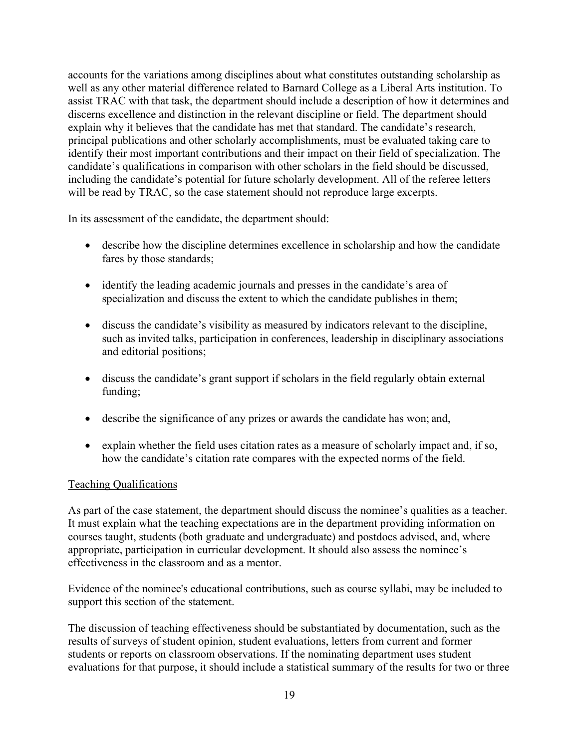accounts for the variations among disciplines about what constitutes outstanding scholarship as well as any other material difference related to Barnard College as a Liberal Arts institution. To assist TRAC with that task, the department should include a description of how it determines and discerns excellence and distinction in the relevant discipline or field. The department should explain why it believes that the candidate has met that standard. The candidate's research, principal publications and other scholarly accomplishments, must be evaluated taking care to identify their most important contributions and their impact on their field of specialization. The candidate's qualifications in comparison with other scholars in the field should be discussed, including the candidate's potential for future scholarly development. All of the referee letters will be read by TRAC, so the case statement should not reproduce large excerpts.

In its assessment of the candidate, the department should:

- describe how the discipline determines excellence in scholarship and how the candidate fares by those standards;
- identify the leading academic journals and presses in the candidate's area of specialization and discuss the extent to which the candidate publishes in them;
- discuss the candidate's visibility as measured by indicators relevant to the discipline, such as invited talks, participation in conferences, leadership in disciplinary associations and editorial positions;
- discuss the candidate's grant support if scholars in the field regularly obtain external funding;
- describe the significance of any prizes or awards the candidate has won; and,
- explain whether the field uses citation rates as a measure of scholarly impact and, if so, how the candidate's citation rate compares with the expected norms of the field.

#### Teaching Qualifications

As part of the case statement, the department should discuss the nominee's qualities as a teacher. It must explain what the teaching expectations are in the department providing information on courses taught, students (both graduate and undergraduate) and postdocs advised, and, where appropriate, participation in curricular development. It should also assess the nominee's effectiveness in the classroom and as a mentor.

Evidence of the nominee's educational contributions, such as course syllabi, may be included to support this section of the statement.

The discussion of teaching effectiveness should be substantiated by documentation, such as the results of surveys of student opinion, student evaluations, letters from current and former students or reports on classroom observations. If the nominating department uses student evaluations for that purpose, it should include a statistical summary of the results for two or three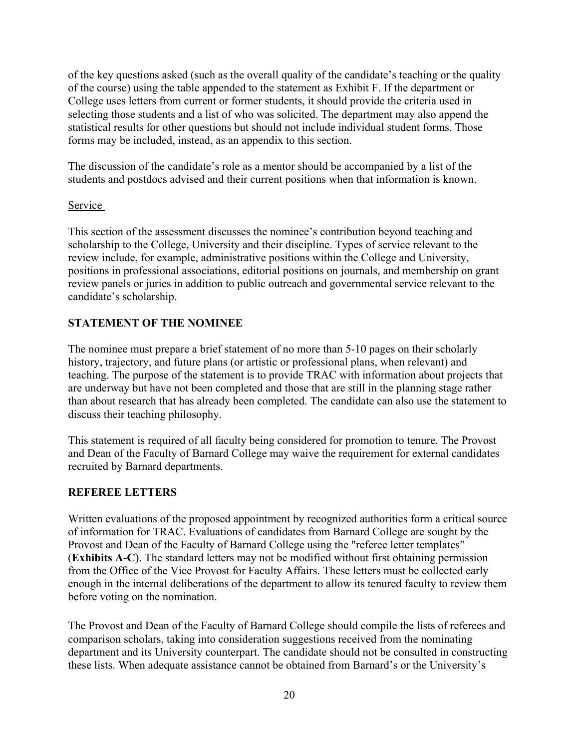of the key questions asked (such as the overall quality of the candidate's teaching or the quality of the course) using the table appended to the statement as Exhibit F. If the department or College uses letters from current or former students, it should provide the criteria used in selecting those students and a list of who was solicited. The department may also append the statistical results for other questions but should not include individual student forms. Those forms may be included, instead, as an appendix to this section.

The discussion of the candidate's role as a mentor should be accompanied by a list of the students and postdocs advised and their current positions when that information is known.

#### Service

This section of the assessment discusses the nominee's contribution beyond teaching and scholarship to the College, University and their discipline. Types of service relevant to the review include, for example, administrative positions within the College and University, positions in professional associations, editorial positions on journals, and membership on grant review panels or juries in addition to public outreach and governmental service relevant to the candidate's scholarship.

# **STATEMENT OF THE NOMINEE**

The nominee must prepare a brief statement of no more than 5-10 pages on their scholarly history, trajectory, and future plans (or artistic or professional plans, when relevant) and teaching. The purpose of the statement is to provide TRAC with information about projects that are underway but have not been completed and those that are still in the planning stage rather than about research that has already been completed. The candidate can also use the statement to discuss their teaching philosophy.

This statement is required of all faculty being considered for promotion to tenure. The Provost and Dean of the Faculty of Barnard College may waive the requirement for external candidates recruited by Barnard departments.

# **REFEREE LETTERS**

Written evaluations of the proposed appointment by recognized authorities form a critical source of information for TRAC. Evaluations of candidates from Barnard College are sought by the Provost and Dean of the Faculty of Barnard College using the "referee letter templates" (**Exhibits A-C**). The standard letters may not be modified without first obtaining permission from the Office of the Vice Provost for Faculty Affairs. These letters must be collected early enough in the internal deliberations of the department to allow its tenured faculty to review them before voting on the nomination.

The Provost and Dean of the Faculty of Barnard College should compile the lists of referees and comparison scholars, taking into consideration suggestions received from the nominating department and its University counterpart. The candidate should not be consulted in constructing these lists. When adequate assistance cannot be obtained from Barnard's or the University's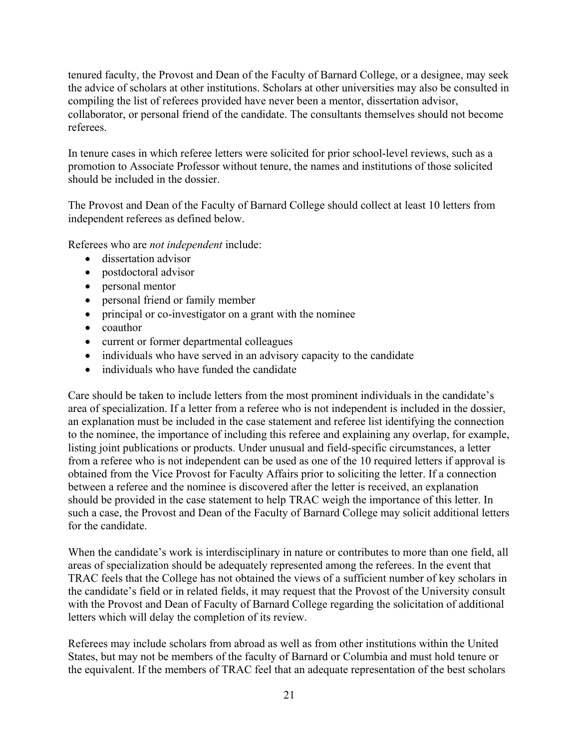tenured faculty, the Provost and Dean of the Faculty of Barnard College, or a designee, may seek the advice of scholars at other institutions. Scholars at other universities may also be consulted in compiling the list of referees provided have never been a mentor, dissertation advisor, collaborator, or personal friend of the candidate. The consultants themselves should not become referees.

In tenure cases in which referee letters were solicited for prior school-level reviews, such as a promotion to Associate Professor without tenure, the names and institutions of those solicited should be included in the dossier.

The Provost and Dean of the Faculty of Barnard College should collect at least 10 letters from independent referees as defined below.

Referees who are *not independent* include:

- dissertation advisor
- postdoctoral advisor
- personal mentor
- personal friend or family member
- principal or co-investigator on a grant with the nominee
- coauthor
- current or former departmental colleagues
- individuals who have served in an advisory capacity to the candidate
- individuals who have funded the candidate

Care should be taken to include letters from the most prominent individuals in the candidate's area of specialization. If a letter from a referee who is not independent is included in the dossier, an explanation must be included in the case statement and referee list identifying the connection to the nominee, the importance of including this referee and explaining any overlap, for example, listing joint publications or products. Under unusual and field-specific circumstances, a letter from a referee who is not independent can be used as one of the 10 required letters if approval is obtained from the Vice Provost for Faculty Affairs prior to soliciting the letter. If a connection between a referee and the nominee is discovered after the letter is received, an explanation should be provided in the case statement to help TRAC weigh the importance of this letter. In such a case, the Provost and Dean of the Faculty of Barnard College may solicit additional letters for the candidate.

When the candidate's work is interdisciplinary in nature or contributes to more than one field, all areas of specialization should be adequately represented among the referees. In the event that TRAC feels that the College has not obtained the views of a sufficient number of key scholars in the candidate's field or in related fields, it may request that the Provost of the University consult with the Provost and Dean of Faculty of Barnard College regarding the solicitation of additional letters which will delay the completion of its review.

Referees may include scholars from abroad as well as from other institutions within the United States, but may not be members of the faculty of Barnard or Columbia and must hold tenure or the equivalent. If the members of TRAC feel that an adequate representation of the best scholars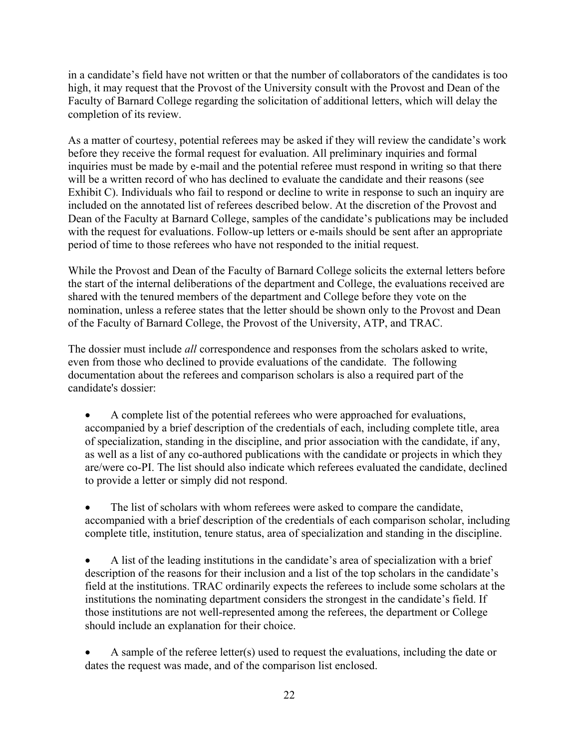in a candidate's field have not written or that the number of collaborators of the candidates is too high, it may request that the Provost of the University consult with the Provost and Dean of the Faculty of Barnard College regarding the solicitation of additional letters, which will delay the completion of its review.

As a matter of courtesy, potential referees may be asked if they will review the candidate's work before they receive the formal request for evaluation. All preliminary inquiries and formal inquiries must be made by e-mail and the potential referee must respond in writing so that there will be a written record of who has declined to evaluate the candidate and their reasons (see Exhibit C). Individuals who fail to respond or decline to write in response to such an inquiry are included on the annotated list of referees described below. At the discretion of the Provost and Dean of the Faculty at Barnard College, samples of the candidate's publications may be included with the request for evaluations. Follow-up letters or e-mails should be sent after an appropriate period of time to those referees who have not responded to the initial request.

While the Provost and Dean of the Faculty of Barnard College solicits the external letters before the start of the internal deliberations of the department and College, the evaluations received are shared with the tenured members of the department and College before they vote on the nomination, unless a referee states that the letter should be shown only to the Provost and Dean of the Faculty of Barnard College, the Provost of the University, ATP, and TRAC.

The dossier must include *all* correspondence and responses from the scholars asked to write, even from those who declined to provide evaluations of the candidate. The following documentation about the referees and comparison scholars is also a required part of the candidate's dossier:

 A complete list of the potential referees who were approached for evaluations, accompanied by a brief description of the credentials of each, including complete title, area of specialization, standing in the discipline, and prior association with the candidate, if any, as well as a list of any co-authored publications with the candidate or projects in which they are/were co-PI. The list should also indicate which referees evaluated the candidate, declined to provide a letter or simply did not respond.

 The list of scholars with whom referees were asked to compare the candidate, accompanied with a brief description of the credentials of each comparison scholar, including complete title, institution, tenure status, area of specialization and standing in the discipline.

 A list of the leading institutions in the candidate's area of specialization with a brief description of the reasons for their inclusion and a list of the top scholars in the candidate's field at the institutions. TRAC ordinarily expects the referees to include some scholars at the institutions the nominating department considers the strongest in the candidate's field. If those institutions are not well-represented among the referees, the department or College should include an explanation for their choice.

 A sample of the referee letter(s) used to request the evaluations, including the date or dates the request was made, and of the comparison list enclosed.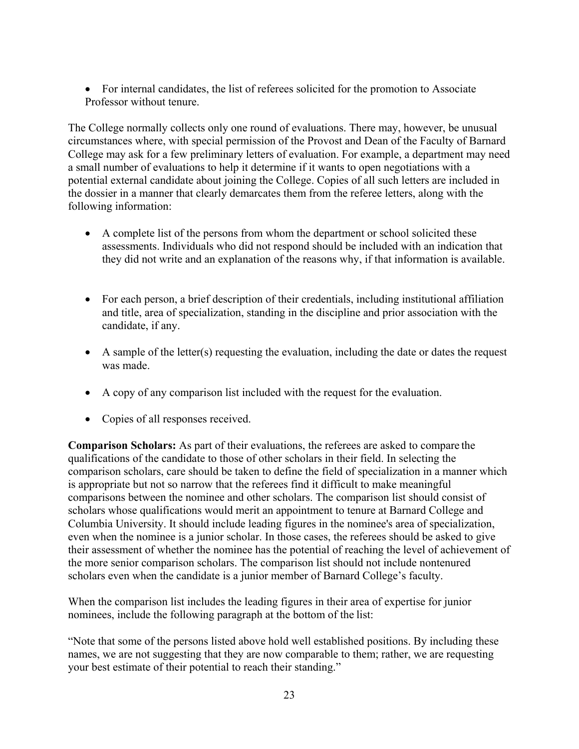• For internal candidates, the list of referees solicited for the promotion to Associate Professor without tenure.

The College normally collects only one round of evaluations. There may, however, be unusual circumstances where, with special permission of the Provost and Dean of the Faculty of Barnard College may ask for a few preliminary letters of evaluation. For example, a department may need a small number of evaluations to help it determine if it wants to open negotiations with a potential external candidate about joining the College. Copies of all such letters are included in the dossier in a manner that clearly demarcates them from the referee letters, along with the following information:

- A complete list of the persons from whom the department or school solicited these assessments. Individuals who did not respond should be included with an indication that they did not write and an explanation of the reasons why, if that information is available.
- For each person, a brief description of their credentials, including institutional affiliation and title, area of specialization, standing in the discipline and prior association with the candidate, if any.
- A sample of the letter(s) requesting the evaluation, including the date or dates the request was made.
- A copy of any comparison list included with the request for the evaluation.
- Copies of all responses received.

**Comparison Scholars:** As part of their evaluations, the referees are asked to compare the qualifications of the candidate to those of other scholars in their field. In selecting the comparison scholars, care should be taken to define the field of specialization in a manner which is appropriate but not so narrow that the referees find it difficult to make meaningful comparisons between the nominee and other scholars. The comparison list should consist of scholars whose qualifications would merit an appointment to tenure at Barnard College and Columbia University. It should include leading figures in the nominee's area of specialization, even when the nominee is a junior scholar. In those cases, the referees should be asked to give their assessment of whether the nominee has the potential of reaching the level of achievement of the more senior comparison scholars. The comparison list should not include nontenured scholars even when the candidate is a junior member of Barnard College's faculty.

When the comparison list includes the leading figures in their area of expertise for junior nominees, include the following paragraph at the bottom of the list:

"Note that some of the persons listed above hold well established positions. By including these names, we are not suggesting that they are now comparable to them; rather, we are requesting your best estimate of their potential to reach their standing."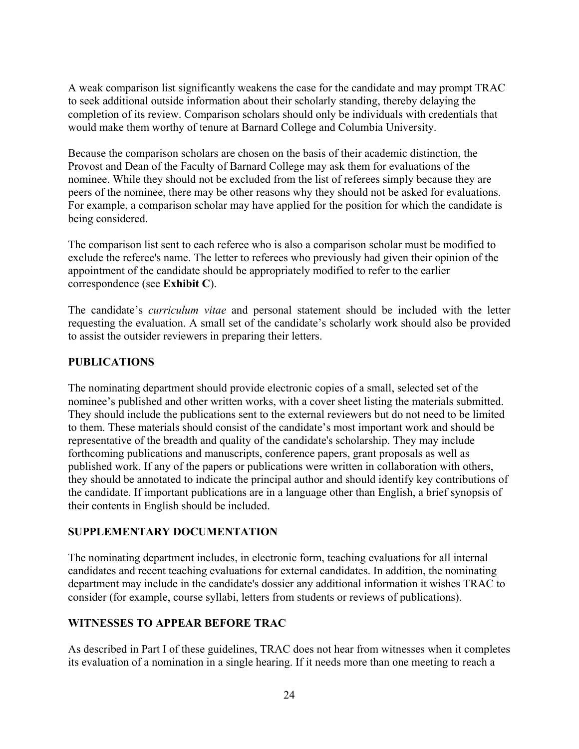A weak comparison list significantly weakens the case for the candidate and may prompt TRAC to seek additional outside information about their scholarly standing, thereby delaying the completion of its review. Comparison scholars should only be individuals with credentials that would make them worthy of tenure at Barnard College and Columbia University.

Because the comparison scholars are chosen on the basis of their academic distinction, the Provost and Dean of the Faculty of Barnard College may ask them for evaluations of the nominee. While they should not be excluded from the list of referees simply because they are peers of the nominee, there may be other reasons why they should not be asked for evaluations. For example, a comparison scholar may have applied for the position for which the candidate is being considered.

The comparison list sent to each referee who is also a comparison scholar must be modified to exclude the referee's name. The letter to referees who previously had given their opinion of the appointment of the candidate should be appropriately modified to refer to the earlier correspondence (see **Exhibit C**).

The candidate's *curriculum vitae* and personal statement should be included with the letter requesting the evaluation. A small set of the candidate's scholarly work should also be provided to assist the outsider reviewers in preparing their letters.

# **PUBLICATIONS**

The nominating department should provide electronic copies of a small, selected set of the nominee's published and other written works, with a cover sheet listing the materials submitted. They should include the publications sent to the external reviewers but do not need to be limited to them. These materials should consist of the candidate's most important work and should be representative of the breadth and quality of the candidate's scholarship. They may include forthcoming publications and manuscripts, conference papers, grant proposals as well as published work. If any of the papers or publications were written in collaboration with others, they should be annotated to indicate the principal author and should identify key contributions of the candidate. If important publications are in a language other than English, a brief synopsis of their contents in English should be included.

#### **SUPPLEMENTARY DOCUMENTATION**

The nominating department includes, in electronic form, teaching evaluations for all internal candidates and recent teaching evaluations for external candidates. In addition, the nominating department may include in the candidate's dossier any additional information it wishes TRAC to consider (for example, course syllabi, letters from students or reviews of publications).

# **WITNESSES TO APPEAR BEFORE TRAC**

As described in Part I of these guidelines, TRAC does not hear from witnesses when it completes its evaluation of a nomination in a single hearing. If it needs more than one meeting to reach a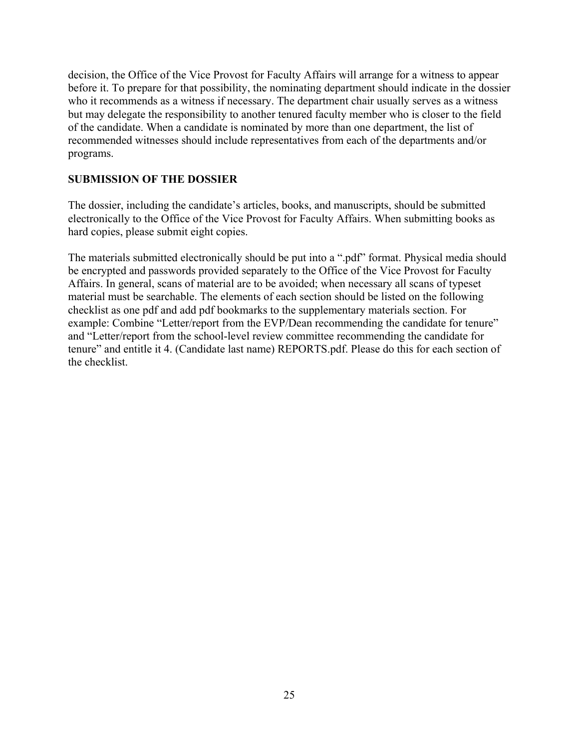decision, the Office of the Vice Provost for Faculty Affairs will arrange for a witness to appear before it. To prepare for that possibility, the nominating department should indicate in the dossier who it recommends as a witness if necessary. The department chair usually serves as a witness but may delegate the responsibility to another tenured faculty member who is closer to the field of the candidate. When a candidate is nominated by more than one department, the list of recommended witnesses should include representatives from each of the departments and/or programs.

## **SUBMISSION OF THE DOSSIER**

The dossier, including the candidate's articles, books, and manuscripts, should be submitted electronically to the Office of the Vice Provost for Faculty Affairs. When submitting books as hard copies, please submit eight copies.

The materials submitted electronically should be put into a ".pdf" format. Physical media should be encrypted and passwords provided separately to the Office of the Vice Provost for Faculty Affairs. In general, scans of material are to be avoided; when necessary all scans of typeset material must be searchable. The elements of each section should be listed on the following checklist as one pdf and add pdf bookmarks to the supplementary materials section. For example: Combine "Letter/report from the EVP/Dean recommending the candidate for tenure" and "Letter/report from the school-level review committee recommending the candidate for tenure" and entitle it 4. (Candidate last name) REPORTS.pdf. Please do this for each section of the checklist.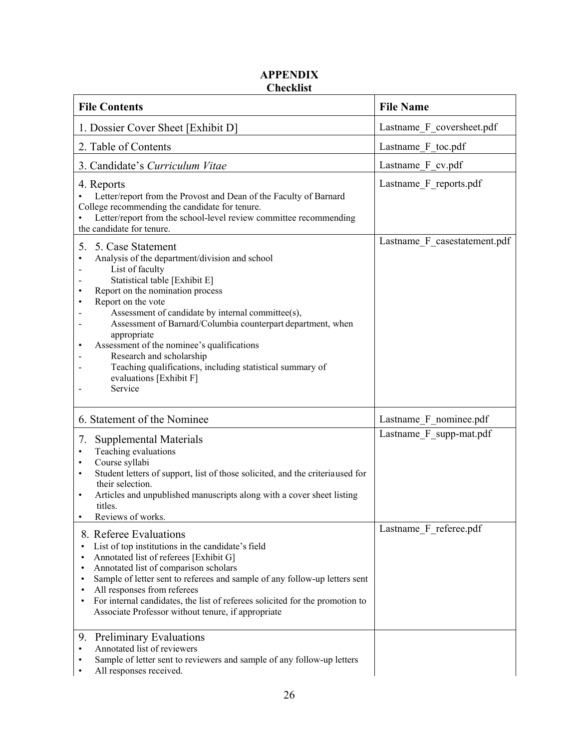# **APPENDIX Checklist**

| <b>File Contents</b>                                                                                                                                                                                                                                                                                                                                                                                                                                                                                                                                | <b>File Name</b>             |  |
|-----------------------------------------------------------------------------------------------------------------------------------------------------------------------------------------------------------------------------------------------------------------------------------------------------------------------------------------------------------------------------------------------------------------------------------------------------------------------------------------------------------------------------------------------------|------------------------------|--|
| 1. Dossier Cover Sheet [Exhibit D]                                                                                                                                                                                                                                                                                                                                                                                                                                                                                                                  | Lastname_F_coversheet.pdf    |  |
| 2. Table of Contents                                                                                                                                                                                                                                                                                                                                                                                                                                                                                                                                | Lastname F toc.pdf           |  |
| 3. Candidate's Curriculum Vitae                                                                                                                                                                                                                                                                                                                                                                                                                                                                                                                     | Lastname F cv.pdf            |  |
| 4. Reports<br>Letter/report from the Provost and Dean of the Faculty of Barnard<br>College recommending the candidate for tenure.<br>Letter/report from the school-level review committee recommending<br>the candidate for tenure.                                                                                                                                                                                                                                                                                                                 | Lastname F reports.pdf       |  |
| 5.<br>5. Case Statement<br>Analysis of the department/division and school<br>$\bullet$<br>List of faculty<br>Statistical table [Exhibit E]<br>Report on the nomination process<br>$\bullet$<br>Report on the vote<br>$\bullet$<br>Assessment of candidate by internal committee(s),<br>Assessment of Barnard/Columbia counterpart department, when<br>appropriate<br>Assessment of the nominee's qualifications<br>٠<br>Research and scholarship<br>Teaching qualifications, including statistical summary of<br>evaluations [Exhibit F]<br>Service | Lastname_F_casestatement.pdf |  |
| 6. Statement of the Nominee                                                                                                                                                                                                                                                                                                                                                                                                                                                                                                                         | Lastname F nominee.pdf       |  |
| 7.<br>Supplemental Materials<br>Teaching evaluations<br>$\bullet$<br>Course syllabi<br>$\bullet$<br>Student letters of support, list of those solicited, and the criteriaused for<br>$\bullet$<br>their selection.<br>Articles and unpublished manuscripts along with a cover sheet listing<br>$\bullet$<br>titles.<br>Reviews of works.<br>$\bullet$                                                                                                                                                                                               | Lastname F supp-mat.pdf      |  |
| 8. Referee Evaluations<br>List of top institutions in the candidate's field<br>Annotated list of referees [Exhibit G]<br>Annotated list of comparison scholars<br>Sample of letter sent to referees and sample of any follow-up letters sent<br>All responses from referees<br>For internal candidates, the list of referees solicited for the promotion to<br>Associate Professor without tenure, if appropriate                                                                                                                                   | Lastname F referee.pdf       |  |
| <b>Preliminary Evaluations</b><br>9.<br>Annotated list of reviewers<br>$\bullet$<br>Sample of letter sent to reviewers and sample of any follow-up letters<br>All responses received.                                                                                                                                                                                                                                                                                                                                                               |                              |  |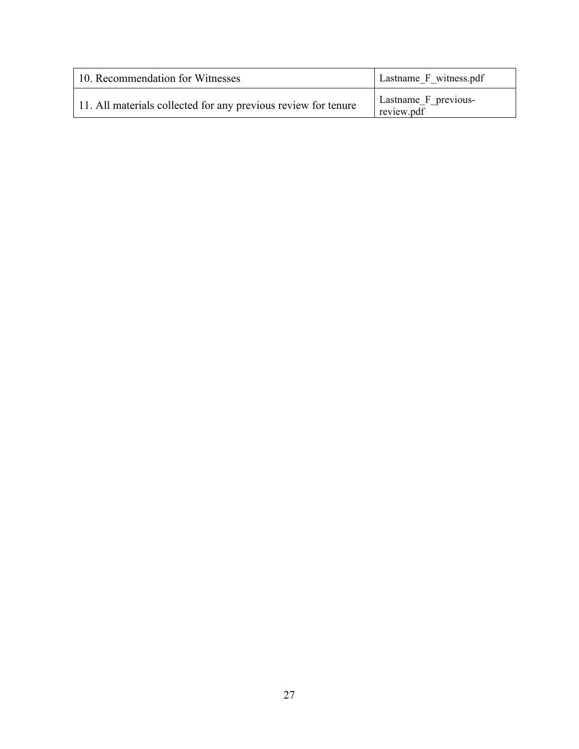| 10. Recommendation for Witnesses                               | Lastname F witness.pdf             |
|----------------------------------------------------------------|------------------------------------|
| 11. All materials collected for any previous review for tenure | Lastname F previous-<br>review.pdf |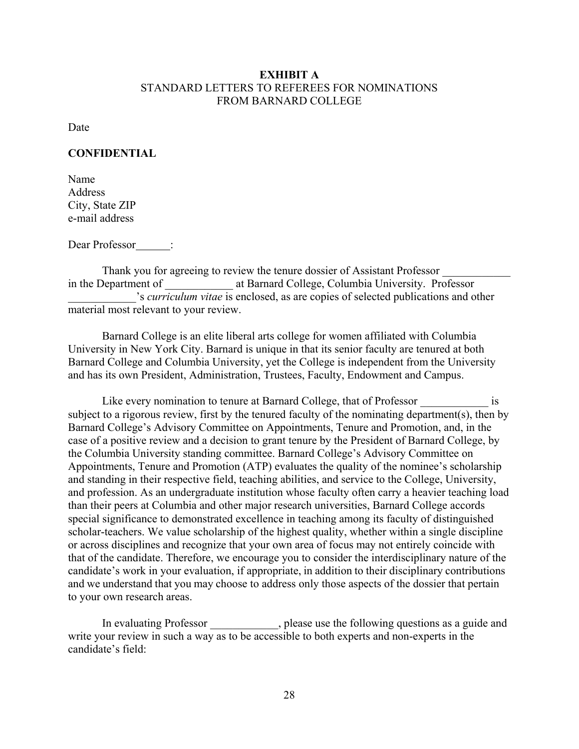#### **EXHIBIT A**  STANDARD LETTERS TO REFEREES FOR NOMINATIONS FROM BARNARD COLLEGE

Date

#### **CONFIDENTIAL**

Name Address City, State ZIP e-mail address

Dear Professor<br>
:

Thank you for agreeing to review the tenure dossier of Assistant Professor in the Department of The Starnard College, Columbia University. Professor \_\_\_\_\_\_\_\_\_\_\_\_'s *curriculum vitae* is enclosed, as are copies of selected publications and other material most relevant to your review.

 Barnard College is an elite liberal arts college for women affiliated with Columbia University in New York City. Barnard is unique in that its senior faculty are tenured at both Barnard College and Columbia University, yet the College is independent from the University and has its own President, Administration, Trustees, Faculty, Endowment and Campus.

Like every nomination to tenure at Barnard College, that of Professor is subject to a rigorous review, first by the tenured faculty of the nominating department(s), then by Barnard College's Advisory Committee on Appointments, Tenure and Promotion, and, in the case of a positive review and a decision to grant tenure by the President of Barnard College, by the Columbia University standing committee. Barnard College's Advisory Committee on Appointments, Tenure and Promotion (ATP) evaluates the quality of the nominee's scholarship and standing in their respective field, teaching abilities, and service to the College, University, and profession. As an undergraduate institution whose faculty often carry a heavier teaching load than their peers at Columbia and other major research universities, Barnard College accords special significance to demonstrated excellence in teaching among its faculty of distinguished scholar-teachers. We value scholarship of the highest quality, whether within a single discipline or across disciplines and recognize that your own area of focus may not entirely coincide with that of the candidate. Therefore, we encourage you to consider the interdisciplinary nature of the candidate's work in your evaluation, if appropriate, in addition to their disciplinary contributions and we understand that you may choose to address only those aspects of the dossier that pertain to your own research areas.

In evaluating Professor 1.1 (1), please use the following questions as a guide and write your review in such a way as to be accessible to both experts and non-experts in the candidate's field: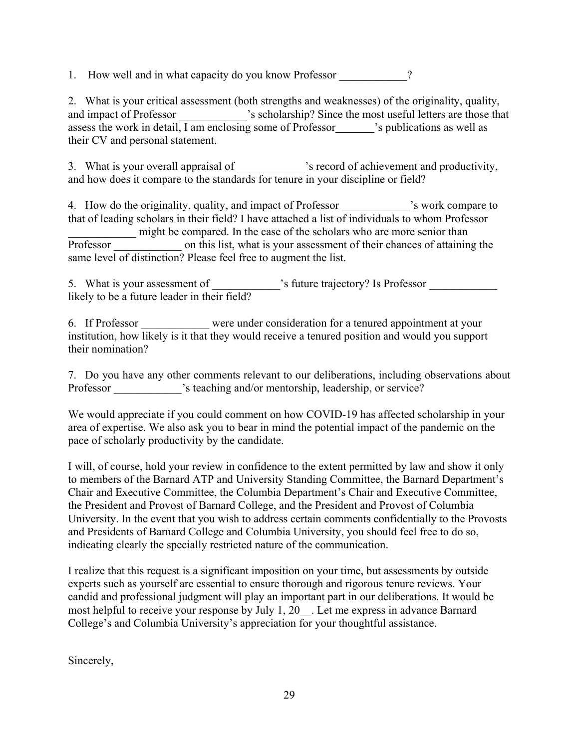1. How well and in what capacity do you know Professor 2

2. What is your critical assessment (both strengths and weaknesses) of the originality, quality, and impact of Professor \_\_\_\_\_\_\_\_\_\_\_\_'s scholarship? Since the most useful letters are those that assess the work in detail, I am enclosing some of Professor $\Box$  's publications as well as their CV and personal statement.

3. What is your overall appraisal of  $\cdot$  is record of achievement and productivity, and how does it compare to the standards for tenure in your discipline or field?

4. How do the originality, quality, and impact of Professor  $\cdot$  is work compare to that of leading scholars in their field? I have attached a list of individuals to whom Professor might be compared. In the case of the scholars who are more senior than Professor on this list, what is your assessment of their chances of attaining the same level of distinction? Please feel free to augment the list.

5. What is your assessment of \_\_\_\_\_\_\_\_\_\_\_\_'s future trajectory? Is Professor \_\_\_\_\_\_\_\_\_\_ likely to be a future leader in their field?

6. If Professor \_\_\_\_\_\_\_\_\_\_\_\_ were under consideration for a tenured appointment at your institution, how likely is it that they would receive a tenured position and would you support their nomination?

7. Do you have any other comments relevant to our deliberations, including observations about Professor \_\_\_\_\_\_\_\_\_\_\_\_'s teaching and/or mentorship, leadership, or service?

We would appreciate if you could comment on how COVID-19 has affected scholarship in your area of expertise. We also ask you to bear in mind the potential impact of the pandemic on the pace of scholarly productivity by the candidate.

I will, of course, hold your review in confidence to the extent permitted by law and show it only to members of the Barnard ATP and University Standing Committee, the Barnard Department's Chair and Executive Committee, the Columbia Department's Chair and Executive Committee, the President and Provost of Barnard College, and the President and Provost of Columbia University. In the event that you wish to address certain comments confidentially to the Provosts and Presidents of Barnard College and Columbia University, you should feel free to do so, indicating clearly the specially restricted nature of the communication.

I realize that this request is a significant imposition on your time, but assessments by outside experts such as yourself are essential to ensure thorough and rigorous tenure reviews. Your candid and professional judgment will play an important part in our deliberations. It would be most helpful to receive your response by July 1, 20 . Let me express in advance Barnard College's and Columbia University's appreciation for your thoughtful assistance.

Sincerely,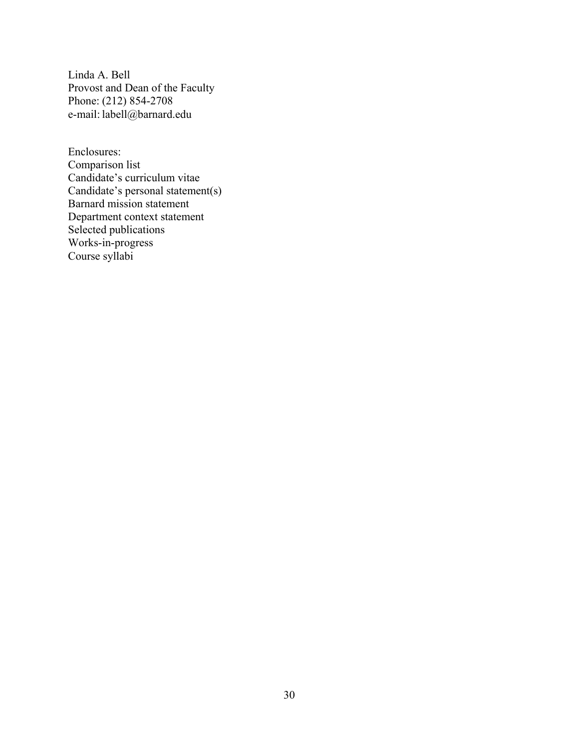Linda A. Bell Provost and Dean of the Faculty Phone: (212) 854-2708 e-mail: labell@barnard.edu

Enclosures: Comparison list Candidate's curriculum vitae Candidate's personal statement(s) Barnard mission statement Department context statement Selected publications Works-in-progress Course syllabi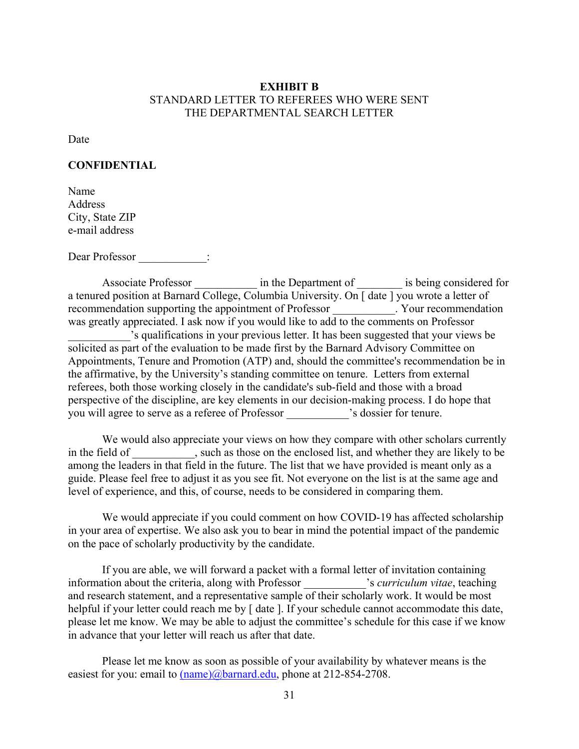#### **EXHIBIT B**  STANDARD LETTER TO REFEREES WHO WERE SENT THE DEPARTMENTAL SEARCH LETTER

Date

#### **CONFIDENTIAL**

Name Address City, State ZIP e-mail address

Dear Professor  $\qquad \qquad :$ 

Associate Professor **a in** the Department of **a** is being considered for a tenured position at Barnard College, Columbia University. On [ date ] you wrote a letter of recommendation supporting the appointment of Professor \_\_\_\_\_\_\_\_\_\_\_. Your recommendation was greatly appreciated. I ask now if you would like to add to the comments on Professor \_\_\_\_\_\_\_\_\_\_\_'s qualifications in your previous letter. It has been suggested that your views be solicited as part of the evaluation to be made first by the Barnard Advisory Committee on Appointments, Tenure and Promotion (ATP) and, should the committee's recommendation be in the affirmative, by the University's standing committee on tenure. Letters from external referees, both those working closely in the candidate's sub-field and those with a broad perspective of the discipline, are key elements in our decision-making process. I do hope that you will agree to serve as a referee of Professor \_\_\_\_\_\_\_\_\_\_\_'s dossier for tenure.

 We would also appreciate your views on how they compare with other scholars currently in the field of , such as those on the enclosed list, and whether they are likely to be among the leaders in that field in the future. The list that we have provided is meant only as a guide. Please feel free to adjust it as you see fit. Not everyone on the list is at the same age and level of experience, and this, of course, needs to be considered in comparing them.

We would appreciate if you could comment on how COVID-19 has affected scholarship in your area of expertise. We also ask you to bear in mind the potential impact of the pandemic on the pace of scholarly productivity by the candidate.

If you are able, we will forward a packet with a formal letter of invitation containing information about the criteria, along with Professor \_\_\_\_\_\_\_\_\_\_\_'s *curriculum vitae*, teaching and research statement, and a representative sample of their scholarly work. It would be most helpful if your letter could reach me by [ date ]. If your schedule cannot accommodate this date, please let me know. We may be able to adjust the committee's schedule for this case if we know in advance that your letter will reach us after that date.

Please let me know as soon as possible of your availability by whatever means is the easiest for you: email to  $(name)@barnard.edu$ , phone at 212-854-2708.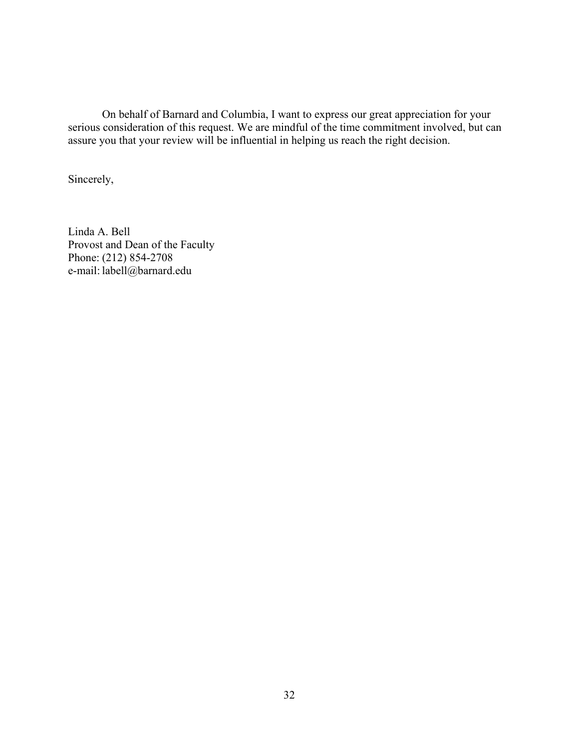On behalf of Barnard and Columbia, I want to express our great appreciation for your serious consideration of this request. We are mindful of the time commitment involved, but can assure you that your review will be influential in helping us reach the right decision.

Sincerely,

Linda A. Bell Provost and Dean of the Faculty Phone: (212) 854-2708 e-mail: labell@barnard.edu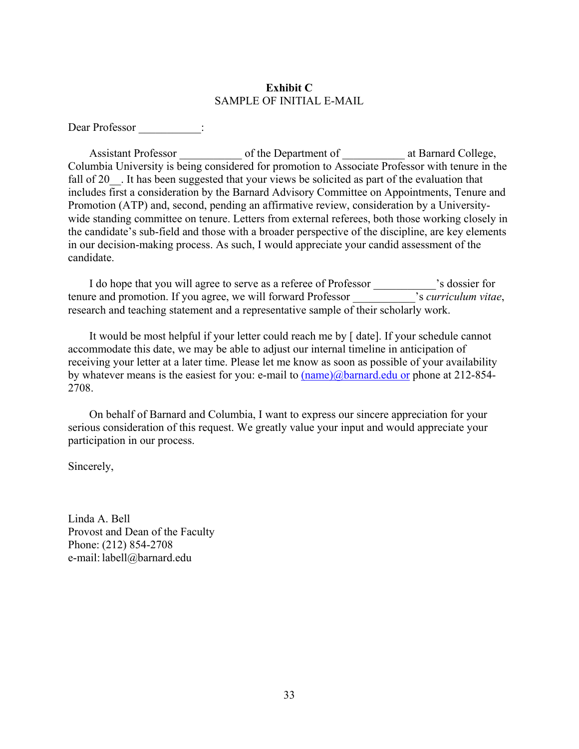#### **Exhibit C**  SAMPLE OF INITIAL E-MAIL

Dear Professor  $\qquad \qquad :$ 

Assistant Professor \_\_\_\_\_\_\_\_\_\_\_ of the Department of \_\_\_\_\_\_\_ at Barnard College, Columbia University is being considered for promotion to Associate Professor with tenure in the fall of 20. It has been suggested that your views be solicited as part of the evaluation that includes first a consideration by the Barnard Advisory Committee on Appointments, Tenure and Promotion (ATP) and, second, pending an affirmative review, consideration by a Universitywide standing committee on tenure. Letters from external referees, both those working closely in the candidate's sub-field and those with a broader perspective of the discipline, are key elements in our decision-making process. As such, I would appreciate your candid assessment of the candidate.

 I do hope that you will agree to serve as a referee of Professor \_\_\_\_\_\_\_\_\_\_\_'s dossier for tenure and promotion. If you agree, we will forward Professor \_\_\_\_\_\_\_\_\_\_\_'s *curriculum vitae*, research and teaching statement and a representative sample of their scholarly work.

 It would be most helpful if your letter could reach me by [ date]. If your schedule cannot accommodate this date, we may be able to adjust our internal timeline in anticipation of receiving your letter at a later time. Please let me know as soon as possible of your availability by whatever means is the easiest for you: e-mail to (name)@barnard.edu or phone at 212-854- 2708.

 On behalf of Barnard and Columbia, I want to express our sincere appreciation for your serious consideration of this request. We greatly value your input and would appreciate your participation in our process.

Sincerely,

Linda A. Bell Provost and Dean of the Faculty Phone: (212) 854-2708 e-mail: labell@barnard.edu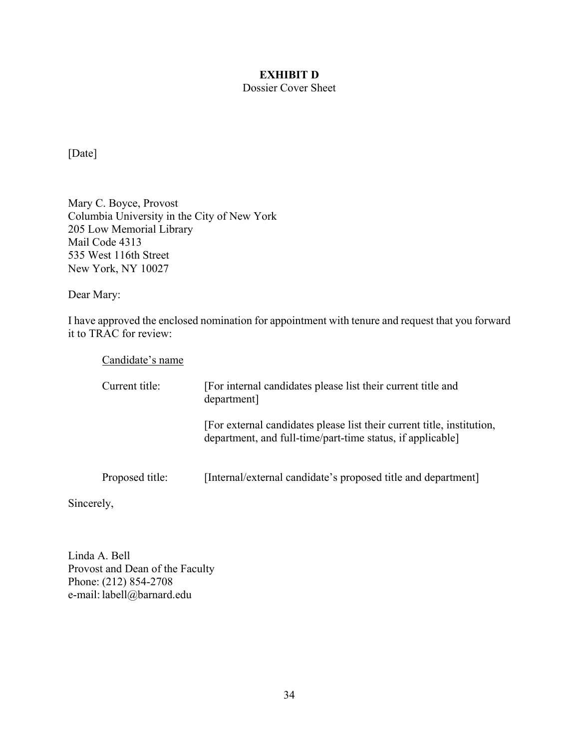# **EXHIBIT D**

# Dossier Cover Sheet

[Date]

Mary C. Boyce, Provost Columbia University in the City of New York 205 Low Memorial Library Mail Code 4313 535 West 116th Street New York, NY 10027

Dear Mary:

I have approved the enclosed nomination for appointment with tenure and request that you forward it to TRAC for review:

Candidate's name

| Current title:  | [For internal candidates please list their current title and<br>department]                                                          |  |  |
|-----------------|--------------------------------------------------------------------------------------------------------------------------------------|--|--|
|                 | [For external candidates please list their current title, institution,<br>department, and full-time/part-time status, if applicable] |  |  |
| Proposed title: | [Internal/external candidate's proposed title and department]                                                                        |  |  |

Sincerely,

Linda A. Bell Provost and Dean of the Faculty Phone: (212) 854-2708 e-mail: labell@barnard.edu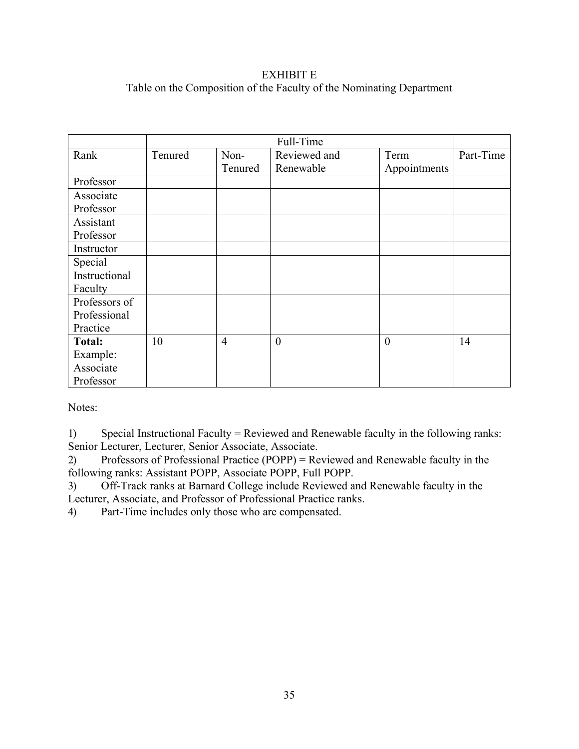# EXHIBIT E Table on the Composition of the Faculty of the Nominating Department

|               |         |                | Full-Time      |                  |           |
|---------------|---------|----------------|----------------|------------------|-----------|
| Rank          | Tenured | Non-           | Reviewed and   | Term             | Part-Time |
|               |         | Tenured        | Renewable      | Appointments     |           |
| Professor     |         |                |                |                  |           |
| Associate     |         |                |                |                  |           |
| Professor     |         |                |                |                  |           |
| Assistant     |         |                |                |                  |           |
| Professor     |         |                |                |                  |           |
| Instructor    |         |                |                |                  |           |
| Special       |         |                |                |                  |           |
| Instructional |         |                |                |                  |           |
| Faculty       |         |                |                |                  |           |
| Professors of |         |                |                |                  |           |
| Professional  |         |                |                |                  |           |
| Practice      |         |                |                |                  |           |
| <b>Total:</b> | 10      | $\overline{4}$ | $\overline{0}$ | $\boldsymbol{0}$ | 14        |
| Example:      |         |                |                |                  |           |
| Associate     |         |                |                |                  |           |
| Professor     |         |                |                |                  |           |

Notes:

1) Special Instructional Faculty = Reviewed and Renewable faculty in the following ranks: Senior Lecturer, Lecturer, Senior Associate, Associate.

2) Professors of Professional Practice (POPP) = Reviewed and Renewable faculty in the following ranks: Assistant POPP, Associate POPP, Full POPP.

3) Off-Track ranks at Barnard College include Reviewed and Renewable faculty in the Lecturer, Associate, and Professor of Professional Practice ranks.

4) Part-Time includes only those who are compensated.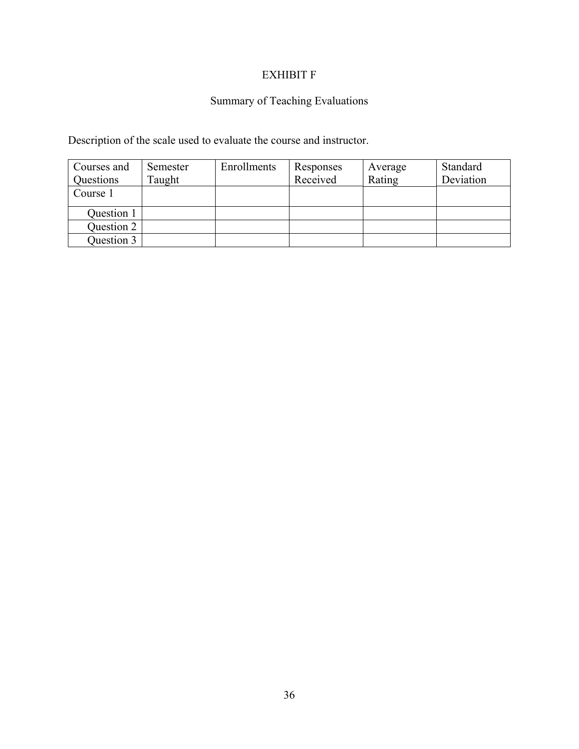# EXHIBIT F

# Summary of Teaching Evaluations

Description of the scale used to evaluate the course and instructor.

| Courses and | Semester | Enrollments | Responses | Average | Standard  |
|-------------|----------|-------------|-----------|---------|-----------|
| Questions   | Taught   |             | Received  | Rating  | Deviation |
| Course 1    |          |             |           |         |           |
| Question 1  |          |             |           |         |           |
| Question 2  |          |             |           |         |           |
| Question 3  |          |             |           |         |           |